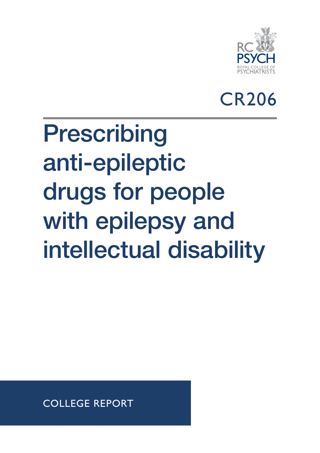

CR206

## Prescribing anti-epileptic drugs for people with epilepsy and intellectual disability

COLLEGE REPORT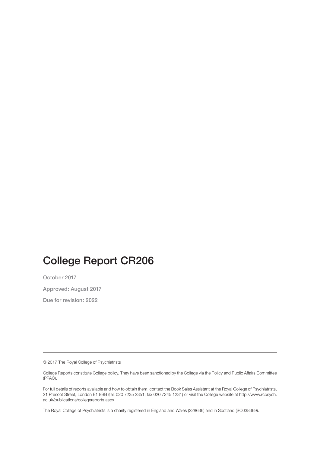### College Report CR206

October 2017

Approved: August 2017

Due for revision: 2022

© 2017 The Royal College of Psychiatrists

College Reports constitute College policy. They have been sanctioned by the College via the Policy and Public Affairs Committee (PPAC).

For full details of reports available and how to obtain them, contact the Book Sales Assistant at the Royal College of Psychiatrists, 21 Prescot Street, London E1 8BB (tel. 020 7235 2351; fax 020 7245 1231) or visit the College website at http://www.rcpsych. ac.uk/publications/collegereports.aspx

The Royal College of Psychiatrists is a charity registered in England and Wales (228636) and in Scotland (SC038369).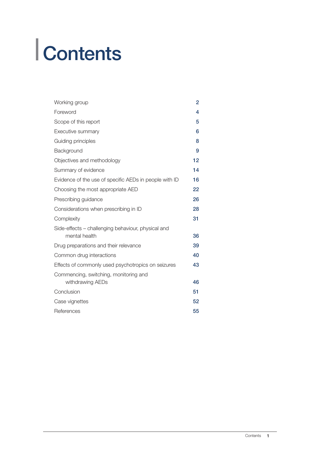# **Contents**

| Working group                                                       | $\overline{2}$ |
|---------------------------------------------------------------------|----------------|
| Foreword                                                            | 4              |
| Scope of this report                                                | 5              |
| Executive summary                                                   | 6              |
| Guiding principles                                                  | 8              |
| Background                                                          | 9              |
| Objectives and methodology                                          | 12             |
| Summary of evidence                                                 | 14             |
| Evidence of the use of specific AEDs in people with ID              | 16             |
| Choosing the most appropriate AED                                   | 22             |
| Prescribing guidance                                                | 26             |
| Considerations when prescribing in ID                               | 28             |
| Complexity                                                          | 31             |
| Side-effects – challenging behaviour, physical and<br>mental health | 36             |
| Drug preparations and their relevance                               | 39             |
| Common drug interactions                                            | 40             |
| Effects of commonly used psychotropics on seizures                  | 43             |
| Commencing, switching, monitoring and<br>withdrawing AEDs           | 46             |
| Conclusion                                                          | 51             |
| Case vignettes                                                      | 52             |
| References                                                          | 55             |
|                                                                     |                |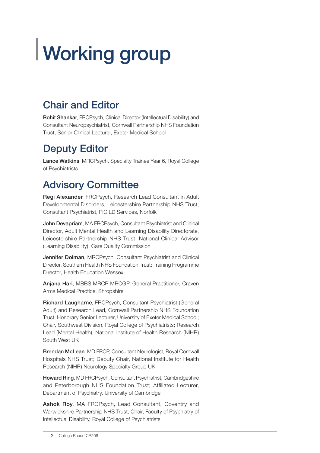## Working group

### Chair and Editor

Rohit Shankar, FRCPsych, Clinical Director (Intellectual Disability) and Consultant Neuropsychiatrist, Cornwall Partnership NHS Foundation Trust; Senior Clinical Lecturer, Exeter Medical School

### Deputy Editor

Lance Watkins, MRCPsych, Specialty Trainee Year 6, Royal College of Psychiatrists

### Advisory Committee

Regi Alexander, FRCPsych, Research Lead Consultant in Adult Developmental Disorders, Leicestershire Partnership NHS Trust; Consultant Psychiatrist, PiC LD Services, Norfolk

John Devapriam, MA FRCPsych, Consultant Psychiatrist and Clinical Director, Adult Mental Health and Learning Disability Directorate, Leicestershire Partnership NHS Trust; National Clinical Advisor (Learning Disability), Care Quality Commission

Jennifer Dolman, MRCPsych, Consultant Psychiatrist and Clinical Director, Southern Health NHS Foundation Trust; Training Programme Director, Health Education Wessex

Anjana Hari, MBBS MRCP MRCGP, General Practitioner, Craven Arms Medical Practice, Shropshire

Richard Laugharne, FRCPsych, Consultant Psychiatrist (General Adult) and Research Lead, Cornwall Partnership NHS Foundation Trust; Honorary Senior Lecturer, University of Exeter Medical School; Chair, Southwest Division, Royal College of Psychiatrists; Research Lead (Mental Health), National Institute of Health Research (NIHR) South West UK

Brendan McLean, MD FRCP, Consultant Neurologist, Royal Cornwall Hospitals NHS Trust; Deputy Chair, National Institute for Health Research (NIHR) Neurology Specialty Group UK

Howard Ring, MD FRCPsych, Consultant Psychiatrist, Cambridgeshire and Peterborough NHS Foundation Trust; Affiliated Lecturer, Department of Psychiatry, University of Cambridge

Ashok Roy, MA FRCPsych, Lead Consultant, Coventry and Warwickshire Partnership NHS Trust; Chair, Faculty of Psychiatry of Intellectual Disability, Royal College of Psychiatrists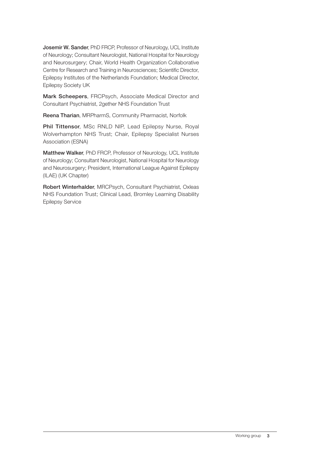Josemir W. Sander, PhD FRCP, Professor of Neurology, UCL Institute of Neurology; Consultant Neurologist, National Hospital for Neurology and Neurosurgery; Chair, World Health Organization Collaborative Centre for Research and Training in Neurosciences; Scientific Director, Epilepsy Institutes of the Netherlands Foundation; Medical Director, Epilepsy Society UK

Mark Scheepers, FRCPsych, Associate Medical Director and Consultant Psychiatrist, 2gether NHS Foundation Trust

Reena Tharian, MRPharmS, Community Pharmacist, Norfolk

Phil Tittensor, MSc RNLD NIP, Lead Epilepsy Nurse, Royal Wolverhampton NHS Trust; Chair, Epilepsy Specialist Nurses Association (ESNA)

Matthew Walker, PhD FRCP, Professor of Neurology, UCL Institute of Neurology; Consultant Neurologist, National Hospital for Neurology and Neurosurgery; President, International League Against Epilepsy (ILAE) (UK Chapter)

Robert Winterhalder, MRCPsych, Consultant Psychiatrist, Oxleas NHS Foundation Trust; Clinical Lead, Bromley Learning Disability Epilepsy Service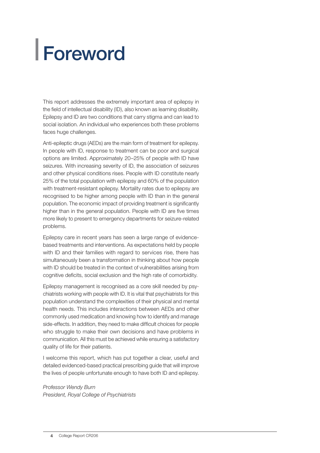## Foreword

This report addresses the extremely important area of epilepsy in the field of intellectual disability (ID), also known as learning disability. Epilepsy and ID are two conditions that carry stigma and can lead to social isolation. An individual who experiences both these problems faces huge challenges.

Anti-epileptic drugs (AEDs) are the main form of treatment for epilepsy. In people with ID, response to treatment can be poor and surgical options are limited. Approximately 20–25% of people with ID have seizures. With increasing severity of ID, the association of seizures and other physical conditions rises. People with ID constitute nearly 25% of the total population with epilepsy and 60% of the population with treatment-resistant epilepsy. Mortality rates due to epilepsy are recognised to be higher among people with ID than in the general population. The economic impact of providing treatment is significantly higher than in the general population. People with ID are five times more likely to present to emergency departments for seizure-related problems.

Epilepsy care in recent years has seen a large range of evidencebased treatments and interventions. As expectations held by people with ID and their families with regard to services rise, there has simultaneously been a transformation in thinking about how people with ID should be treated in the context of vulnerabilities arising from cognitive deficits, social exclusion and the high rate of comorbidity.

Epilepsy management is recognised as a core skill needed by psychiatrists working with people with ID. It is vital that psychiatrists for this population understand the complexities of their physical and mental health needs. This includes interactions between AEDs and other commonly used medication and knowing how to identify and manage side-effects. In addition, they need to make difficult choices for people who struggle to make their own decisions and have problems in communication. All this must be achieved while ensuring a satisfactory quality of life for their patients.

I welcome this report, which has put together a clear, useful and detailed evidenced-based practical prescribing guide that will improve the lives of people unfortunate enough to have both ID and epilepsy.

*Professor Wendy Burn President, Royal College of Psychiatrists*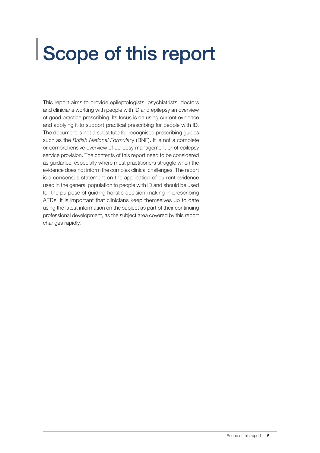### Scope of this report

This report aims to provide epileptologists, psychiatrists, doctors and clinicians working with people with ID and epilepsy an overview of good practice prescribing. Its focus is on using current evidence and applying it to support practical prescribing for people with ID. The document is not a substitute for recognised prescribing guides such as the *British National Formular*y (BNF). It is not a complete or comprehensive overview of epilepsy management or of epilepsy service provision. The contents of this report need to be considered as guidance, especially where most practitioners struggle when the evidence does not inform the complex clinical challenges. The report is a consensus statement on the application of current evidence used in the general population to people with ID and should be used for the purpose of guiding holistic decision-making in prescribing AEDs. It is important that clinicians keep themselves up to date using the latest information on the subject as part of their continuing professional development, as the subject area covered by this report changes rapidly.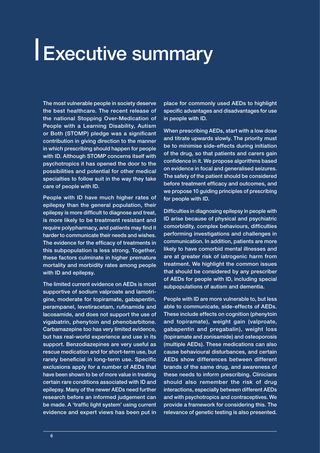### **LExecutive summary**

The most vulnerable people in society deserve the best healthcare. The recent release of the national Stopping Over-Medication of People with a Learning Disability, Autism or Both (STOMP) pledge was a significant contribution in giving direction to the manner in which prescribing should happen for people with ID. Although STOMP concerns itself with psychotropics it has opened the door to the possibilities and potential for other medical specialties to follow suit in the way they take care of people with ID.

People with ID have much higher rates of epilepsy than the general population, their epilepsy is more difficult to diagnose and treat, is more likely to be treatment resistant and require polypharmacy, and patients may find it harder to communicate their needs and wishes. The evidence for the efficacy of treatments in this subpopulation is less strong. Together, these factors culminate in higher premature mortality and morbidity rates among people with ID and epilepsy.

The limited current evidence on AEDs is most supportive of sodium valproate and lamotrigine, moderate for topiramate, gabapentin, perampanel, levetiracetam, rufinamide and lacosamide, and does not support the use of vigabatrin, phenytoin and phenobarbitone. Carbamazepine too has very limited evidence, but has real-world experience and use in its support. Benzodiazepines are very useful as rescue medication and for short-term use, but rarely beneficial in long-term use. Specific exclusions apply for a number of AEDs that have been shown to be of more value in treating certain rare conditions associated with ID and epilepsy. Many of the newer AEDs need further research before an informed judgement can be made. A 'traffic light system' using current evidence and expert views has been put in

place for commonly used AEDs to highlight specific advantages and disadvantages for use in people with ID.

When prescribing AEDs, start with a low dose and titrate upwards slowly. The priority must be to minimise side-effects during initiation of the drug, so that patients and carers gain confidence in it. We propose algorithms based on evidence in focal and generalised seizures. The safety of the patient should be considered before treatment efficacy and outcomes, and we propose 10 guiding principles of prescribing for people with ID.

Difficulties in diagnosing epilepsy in people with ID arise because of physical and psychiatric comorbidity, complex behaviours, difficulties performing investigations and challenges in communication. In addition, patients are more likely to have comorbid mental illnesses and are at greater risk of iatrogenic harm from treatment. We highlight the common issues that should be considered by any prescriber of AEDs for people with ID, including special subpopulations of autism and dementia.

People with ID are more vulnerable to, but less able to communicate, side-effects of AEDs. These include effects on cognition (phenytoin and topiramate), weight gain (valproate, gabapentin and pregabalin), weight loss (topiramate and zonisamide) and osteoporosis (multiple AEDs). These medications can also cause behavioural disturbances, and certain AEDs show differences between different brands of the same drug, and awareness of these needs to inform prescribing. Clinicians should also remember the risk of drug interactions, especially between different AEDs and with psychotropics and contraceptives. We provide a framework for considering this. The relevance of genetic testing is also presented.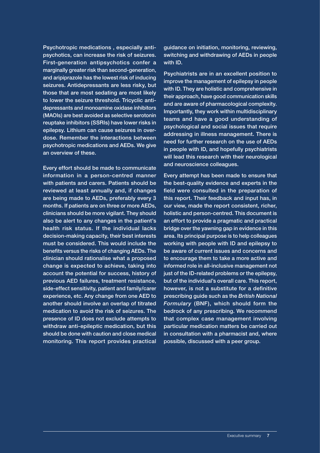Psychotropic medications , especially antipsychotics, can increase the risk of seizures. First-generation antipsychotics confer a marginally greater risk than second-generation, and aripiprazole has the lowest risk of inducing seizures. Antidepressants are less risky, but those that are most sedating are most likely to lower the seizure threshold. Tricyclic antidepressants and monoamine oxidase inhibitors (MAOIs) are best avoided as selective serotonin reuptake inhibitors (SSRIs) have lower risks in epilepsy. Lithium can cause seizures in overdose. Remember the interactions between psychotropic medications and AEDs. We give an overview of these.

Every effort should be made to communicate information in a person-centred manner with patients and carers. Patients should be reviewed at least annually and, if changes are being made to AEDs, preferably every 3 months. If patients are on three or more AEDs, clinicians should be more vigilant. They should also be alert to any changes in the patient's health risk status. If the individual lacks decision-making capacity, their best interests must be considered. This would include the benefits versus the risks of changing AEDs. The clinician should rationalise what a proposed change is expected to achieve, taking into account the potential for success, history of previous AED failures, treatment resistance, side-effect sensitivity, patient and family/carer experience, etc. Any change from one AED to another should involve an overlap of titrated medication to avoid the risk of seizures. The presence of ID does not exclude attempts to withdraw anti-epileptic medication, but this should be done with caution and close medical monitoring. This report provides practical

guidance on initiation, monitoring, reviewing, switching and withdrawing of AEDs in people with ID.

Psychiatrists are in an excellent position to improve the management of epilepsy in people with ID. They are holistic and comprehensive in their approach, have good communication skills and are aware of pharmacological complexity. Importantly, they work within multidisciplinary teams and have a good understanding of psychological and social issues that require addressing in illness management. There is need for further research on the use of AEDs in people with ID, and hopefully psychiatrists will lead this research with their neurological and neuroscience colleagues.

Every attempt has been made to ensure that the best-quality evidence and experts in the field were consulted in the preparation of this report. Their feedback and input has, in our view, made the report consistent, richer, holistic and person-centred. This document is an effort to provide a pragmatic and practical bridge over the yawning gap in evidence in this area. Its principal purpose is to help colleagues working with people with ID and epilepsy to be aware of current issues and concerns and to encourage them to take a more active and informed role in all-inclusive management not just of the ID-related problems or the epilepsy, but of the individual's overall care. This report, however, is not a substitute for a definitive prescribing guide such as the *British National Formulary* (BNF), which should form the bedrock of any prescribing. We recommend that complex case management involving particular medication matters be carried out in consultation with a pharmacist and, where possible, discussed with a peer group.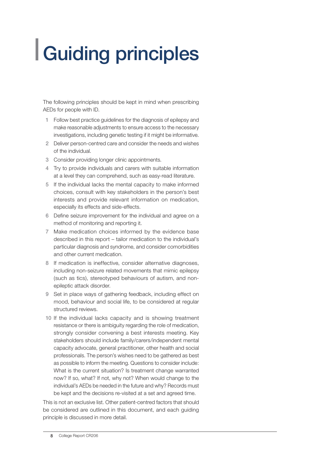## Guiding principles

The following principles should be kept in mind when prescribing AEDs for people with ID.

- 1 Follow best practice guidelines for the diagnosis of epilepsy and make reasonable adjustments to ensure access to the necessary investigations, including genetic testing if it might be informative.
- 2 Deliver person-centred care and consider the needs and wishes of the individual.
- 3 Consider providing longer clinic appointments.
- 4 Try to provide individuals and carers with suitable information at a level they can comprehend, such as easy-read literature.
- 5 If the individual lacks the mental capacity to make informed choices, consult with key stakeholders in the person's best interests and provide relevant information on medication, especially its effects and side-effects.
- 6 Define seizure improvement for the individual and agree on a method of monitoring and reporting it.
- 7 Make medication choices informed by the evidence base described in this report – tailor medication to the individual's particular diagnosis and syndrome, and consider comorbidities and other current medication.
- 8 If medication is ineffective, consider alternative diagnoses, including non-seizure related movements that mimic epilepsy (such as tics), stereotyped behaviours of autism, and nonepileptic attack disorder.
- 9 Set in place ways of gathering feedback, including effect on mood, behaviour and social life, to be considered at regular structured reviews.
- 10 If the individual lacks capacity and is showing treatment resistance or there is ambiguity regarding the role of medication, strongly consider convening a best interests meeting. Key stakeholders should include family/carers/independent mental capacity advocate, general practitioner, other health and social professionals. The person's wishes need to be gathered as best as possible to inform the meeting. Questions to consider include: What is the current situation? Is treatment change warranted now? If so, what? If not, why not? When would change to the individual's AEDs be needed in the future and why? Records must be kept and the decisions re-visited at a set and agreed time.

This is not an exclusive list. Other patient-centred factors that should be considered are outlined in this document, and each guiding principle is discussed in more detail.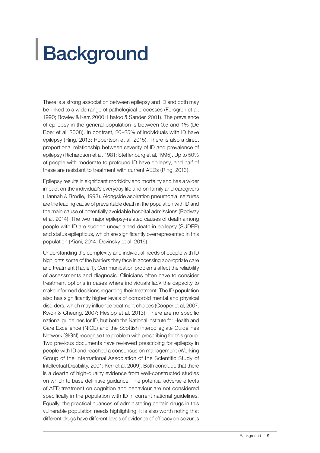## **Background**

There is a strong association between epilepsy and ID and both may be linked to a wide range of pathological processes (Forsgren et al, 1990; Bowley & Kerr, 2000; Lhatoo & Sander, 2001). The prevalence of epilepsy in the general population is between 0.5 and 1% (De Boer et al, 2008). In contrast, 20–25% of individuals with ID have epilepsy (Ring, 2013; Robertson et al, 2015). There is also a direct proportional relationship between severity of ID and prevalence of epilepsy (Richardson et al, 1981; Steffenburg et al, 1995). Up to 50% of people with moderate to profound ID have epilepsy, and half of these are resistant to treatment with current AEDs (Ring, 2013).

Epilepsy results in significant morbidity and mortality and has a wider impact on the individual's everyday life and on family and caregivers (Hannah & Brodie, 1998). Alongside aspiration pneumonia, seizures are the leading cause of preventable death in the population with ID and the main cause of potentially avoidable hospital admissions (Rodway et al, 2014). The two major epilepsy-related causes of death among people with ID are sudden unexplained death in epilepsy (SUDEP) and status epilepticus, which are significantly overrepresented in this population (Kiani, 2014; Devinsky et al, 2016).

Understanding the complexity and individual needs of people with ID highlights some of the barriers they face in accessing appropriate care and treatment (Table 1). Communication problems affect the reliability of assessments and diagnosis. Clinicians often have to consider treatment options in cases where individuals lack the capacity to make informed decisions regarding their treatment. The ID population also has significantly higher levels of comorbid mental and physical disorders, which may influence treatment choices (Cooper et al, 2007; Kwok & Cheung, 2007; Heslop et al, 2013). There are no specific national guidelines for ID, but both the National Institute for Health and Care Excellence (NICE) and the Scottish Intercollegiate Guidelines Network (SIGN) recognise the problem with prescribing for this group. Two previous documents have reviewed prescribing for epilepsy in people with ID and reached a consensus on management (Working Group of the International Association of the Scientific Study of Intellectual Disability, 2001; Kerr et al, 2009). Both conclude that there is a dearth of high-quality evidence from well-constructed studies on which to base definitive guidance. The potential adverse effects of AED treatment on cognition and behaviour are not considered specifically in the population with ID in current national guidelines. Equally, the practical nuances of administering certain drugs in this vulnerable population needs highlighting. It is also worth noting that different drugs have different levels of evidence of efficacy on seizures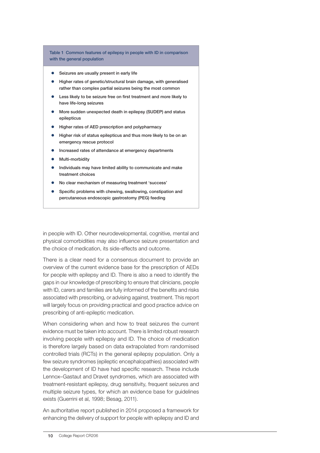Table 1 Common features of epilepsy in people with ID in comparison with the general population

- Seizures are usually present in early life
- Higher rates of genetic/structural brain damage, with generalised rather than complex partial seizures being the most common
- Less likely to be seizure free on first treatment and more likely to have life-long seizures
- More sudden unexpected death in epilepsy (SUDEP) and status epilepticus
- Higher rates of AED prescription and polypharmacy
- Higher risk of status epilepticus and thus more likely to be on an emergency rescue protocol
- Increased rates of attendance at emergency departments
- Multi-morbidity
- Individuals may have limited ability to communicate and make treatment choices
- No clear mechanism of measuring treatment 'success'
- Specific problems with chewing, swallowing, constipation and percutaneous endoscopic gastrostomy (PEG) feeding

in people with ID. Other neurodevelopmental, cognitive, mental and physical comorbidities may also influence seizure presentation and the choice of medication, its side-effects and outcome.

There is a clear need for a consensus document to provide an overview of the current evidence base for the prescription of AEDs for people with epilepsy and ID. There is also a need to identify the gaps in our knowledge of prescribing to ensure that clinicians, people with ID, carers and families are fully informed of the benefits and risks associated with prescribing, or advising against, treatment. This report will largely focus on providing practical and good practice advice on prescribing of anti-epileptic medication.

When considering when and how to treat seizures the current evidence must be taken into account. There is limited robust research involving people with epilepsy and ID. The choice of medication is therefore largely based on data extrapolated from randomised controlled trials (RCTs) in the general epilepsy population. Only a few seizure syndromes (epileptic encephalopathies) associated with the development of ID have had specific research. These include Lennox–Gastaut and Dravet syndromes, which are associated with treatment-resistant epilepsy, drug sensitivity, frequent seizures and multiple seizure types, for which an evidence base for guidelines exists (Guerrini et al, 1998; Besag, 2011).

An authoritative report published in 2014 proposed a framework for enhancing the delivery of support for people with epilepsy and ID and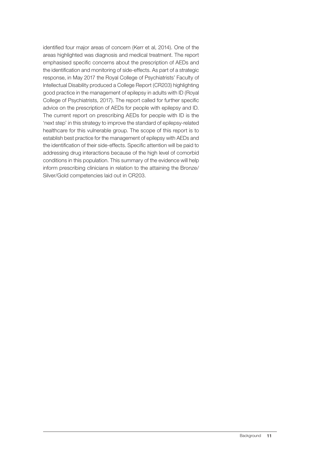identified four major areas of concern (Kerr et al, 2014). One of the areas highlighted was diagnosis and medical treatment. The report emphasised specific concerns about the prescription of AEDs and the identification and monitoring of side-effects. As part of a strategic response, in May 2017 the Royal College of Psychiatrists' Faculty of Intellectual Disability produced a College Report (CR203) highlighting good practice in the management of epilepsy in adults with ID (Royal College of Psychiatrists, 2017). The report called for further specific advice on the prescription of AEDs for people with epilepsy and ID. The current report on prescribing AEDs for people with ID is the 'next step' in this strategy to improve the standard of epilepsy-related healthcare for this vulnerable group. The scope of this report is to establish best practice for the management of epilepsy with AEDs and the identification of their side-effects. Specific attention will be paid to addressing drug interactions because of the high level of comorbid conditions in this population. This summary of the evidence will help inform prescribing clinicians in relation to the attaining the Bronze/ Silver/Gold competencies laid out in CR203.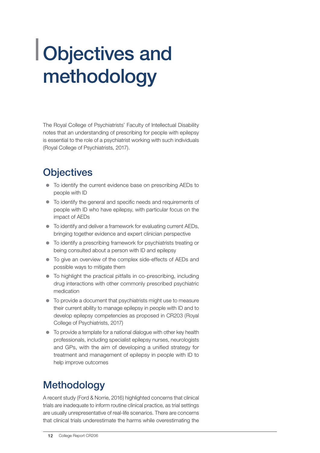### Objectives and methodology

The Royal College of Psychiatrists' Faculty of Intellectual Disability notes that an understanding of prescribing for people with epilepsy is essential to the role of a psychiatrist working with such individuals (Royal College of Psychiatrists, 2017).

#### **Objectives**

- $\bullet$  To identify the current evidence base on prescribing AEDs to people with ID
- $\bullet$  To identify the general and specific needs and requirements of people with ID who have epilepsy, with particular focus on the impact of AEDs
- $\bullet$  To identify and deliver a framework for evaluating current AEDs, bringing together evidence and expert clinician perspective
- To identify a prescribing framework for psychiatrists treating or being consulted about a person with ID and epilepsy
- To give an overview of the complex side-effects of AEDs and possible ways to mitigate them
- $\bullet$  To highlight the practical pitfalls in co-prescribing, including drug interactions with other commonly prescribed psychiatric medication
- $\bullet$  To provide a document that psychiatrists might use to measure their current ability to manage epilepsy in people with ID and to develop epilepsy competencies as proposed in CR203 (Royal College of Psychiatrists, 2017)
- $\bullet$  To provide a template for a national dialogue with other key health professionals, including specialist epilepsy nurses, neurologists and GPs, with the aim of developing a unified strategy for treatment and management of epilepsy in people with ID to help improve outcomes

### **Methodology**

A recent study (Ford & Norrie, 2016) highlighted concerns that clinical trials are inadequate to inform routine clinical practice, as trial settings are usually unrepresentative of real-life scenarios. There are concerns that clinical trials underestimate the harms while overestimating the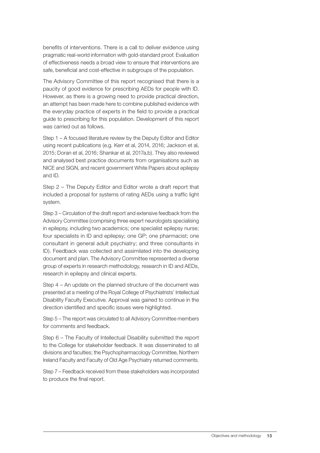benefits of interventions. There is a call to deliver evidence using pragmatic real-world information with gold-standard proof. Evaluation of effectiveness needs a broad view to ensure that interventions are safe, beneficial and cost-effective in subgroups of the population.

The Advisory Committee of this report recognised that there is a paucity of good evidence for prescribing AEDs for people with ID. However, as there is a growing need to provide practical direction, an attempt has been made here to combine published evidence with the everyday practice of experts in the field to provide a practical guide to prescribing for this population. Development of this report was carried out as follows.

Step 1 – A focused literature review by the Deputy Editor and Editor using recent publications (e.g. Kerr et al, 2014, 2016; Jackson et al, 2015; Doran et al, 2016; Shankar et al, 2017a,b). They also reviewed and analysed best practice documents from organisations such as NICE and SIGN, and recent government White Papers about epilepsy and ID.

Step 2 – The Deputy Editor and Editor wrote a draft report that included a proposal for systems of rating AEDs using a traffic light system.

Step 3 – Circulation of the draft report and extensive feedback from the Advisory Committee (comprising three expert neurologists specialising in epilepsy, including two academics; one specialist epilepsy nurse; four specialists in ID and epilepsy; one GP; one pharmacist; one consultant in general adult psychiatry; and three consultants in ID). Feedback was collected and assimilated into the developing document and plan. The Advisory Committee represented a diverse group of experts in research methodology, research in ID and AEDs, research in epilepsy and clinical experts.

Step 4 – An update on the planned structure of the document was presented at a meeting of the Royal College of Psychiatrists' Intellectual Disability Faculty Executive. Approval was gained to continue in the direction identified and specific issues were highlighted.

Step 5 – The report was circulated to all Advisory Committee members for comments and feedback.

Step 6 – The Faculty of Intellectual Disability submitted the report to the College for stakeholder feedback. It was disseminated to all divisions and faculties; the Psychopharmacology Committee, Northern Ireland Faculty and Faculty of Old Age Psychiatry returned comments.

Step 7 – Feedback received from these stakeholders was incorporated to produce the final report.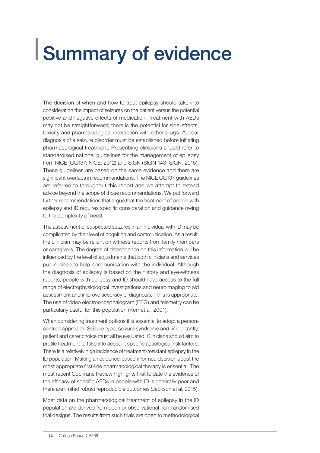### Summary of evidence

The decision of when and how to treat epilepsy should take into consideration the impact of seizures on the patient versus the potential positive and negative effects of medication. Treatment with AEDs may not be straightforward; there is the potential for side-effects, toxicity and pharmacological interaction with other drugs. A clear diagnosis of a seizure disorder must be established before initiating pharmacological treatment. Prescribing clinicians should refer to standardised national guidelines for the management of epilepsy from NICE (CG137: NICE, 2012) and SIGN (SIGN 143: SIGN, 2015). These guidelines are based on the same evidence and there are significant overlaps in recommendations. The NICE CG137 guidelines are referred to throughout this report and we attempt to extend advice beyond the scope of those recommendations. We put forward further recommendations that argue that the treatment of people with epilepsy and ID requires specific consideration and guidance owing to the complexity of need.

The assessment of suspected seizures in an individual with ID may be complicated by their level of cognition and communication. As a result, the clinician may be reliant on witness reports from family members or caregivers. The degree of dependence on this information will be influenced by the level of adjustments that both clinicians and services put in place to help communication with the individual. Although the diagnosis of epilepsy is based on the history and eye-witness reports, people with epilepsy and ID should have access to the full range of electrophysiological investigations and neuroimaging to aid assessment and improve accuracy of diagnosis, if this is appropriate. The use of video electroencephalogram (EEG) and telemetry can be particularly useful for this population (Kerr et al, 2001).

When considering treatment options it is essential to adopt a personcentred approach. Seizure type, seizure syndrome and, importantly, patient and carer choice must all be evaluated. Clinicians should aim to profile treatment to take into account specific aetiological risk factors. There is a relatively high incidence of treatment-resistant epilepsy in the ID population. Making an evidence-based informed decision about the most appropriate first-line pharmacological therapy is essential. The most recent Cochrane Review highlights that to date the evidence of the efficacy of specific AEDs in people with ID is generally poor and there are limited robust reproducible outcomes (Jackson et al, 2015).

Most data on the pharmacological treatment of epilepsy in the ID population are derived from open or observational non-randomised trial designs. The results from such trials are open to methodological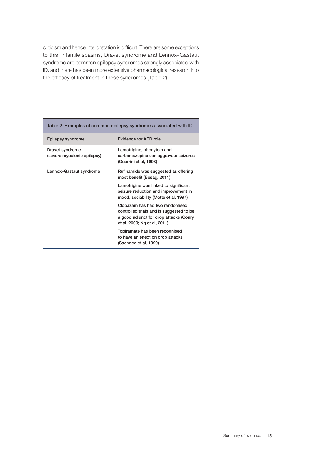criticism and hence interpretation is difficult. There are some exceptions to this. Infantile spasms, Dravet syndrome and Lennox–Gastaut syndrome are common epilepsy syndromes strongly associated with ID, and there has been more extensive pharmacological research into the efficacy of treatment in these syndromes (Table 2).

|                                                | Table 2 Examples of common epilepsy syndromes associated with ID                                                                                      |  |  |  |
|------------------------------------------------|-------------------------------------------------------------------------------------------------------------------------------------------------------|--|--|--|
| Epilepsy syndrome                              | Evidence for AED role                                                                                                                                 |  |  |  |
| Dravet syndrome<br>(severe myoclonic epilepsy) | Lamotrigine, phenytoin and<br>carbamazepine can aggravate seizures<br>(Guerrini et al, 1998)                                                          |  |  |  |
| Lennox-Gastaut syndrome                        | Rufinamide was suggested as offering<br>most benefit (Besag, 2011)                                                                                    |  |  |  |
|                                                | Lamotrigine was linked to significant<br>seizure reduction and improvement in<br>mood, sociability (Motte et al, 1997)                                |  |  |  |
|                                                | Clobazam has had two randomised<br>controlled trials and is suggested to be<br>a good adjunct for drop attacks (Conry<br>et al, 2009; Ng et al, 2011) |  |  |  |
|                                                | Topiramate has been recognised<br>to have an effect on drop attacks<br>(Sachdeo et al, 1999)                                                          |  |  |  |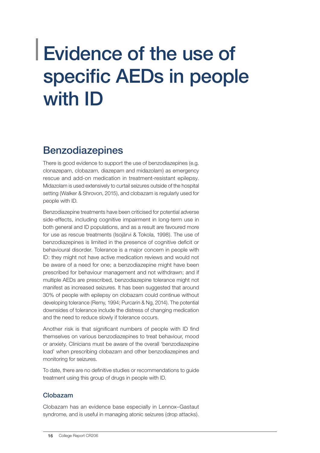### Evidence of the use of specific AEDs in people with ID

### Benzodiazepines

There is good evidence to support the use of benzodiazepines (e.g. clonazepam, clobazam, diazepam and midazolam) as emergency rescue and add-on medication in treatment-resistant epilepsy. Midazolam is used extensively to curtail seizures outside of the hospital setting (Walker & Shrovon, 2015), and clobazam is regularly used for people with ID.

Benzodiazepine treatments have been criticised for potential adverse side-effects, including cognitive impairment in long-term use in both general and ID populations, and as a result are favoured more for use as rescue treatments (Isojärvi & Tokola, 1998). The use of benzodiazepines is limited in the presence of cognitive deficit or behavioural disorder. Tolerance is a major concern in people with ID: they might not have active medication reviews and would not be aware of a need for one; a benzodiazepine might have been prescribed for behaviour management and not withdrawn; and if multiple AEDs are prescribed, benzodiazepine tolerance might not manifest as increased seizures. It has been suggested that around 30% of people with epilepsy on clobazam could continue without developing tolerance (Remy, 1994; Purcarin & Ng, 2014). The potential downsides of tolerance include the distress of changing medication and the need to reduce slowly if tolerance occurs.

Another risk is that significant numbers of people with ID find themselves on various benzodiazepines to treat behaviour, mood or anxiety. Clinicians must be aware of the overall 'benzodiazepine load' when prescribing clobazam and other benzodiazepines and monitoring for seizures.

To date, there are no definitive studies or recommendations to guide treatment using this group of drugs in people with ID.

#### Clobazam

Clobazam has an evidence base especially in Lennox–Gastaut syndrome, and is useful in managing atonic seizures (drop attacks).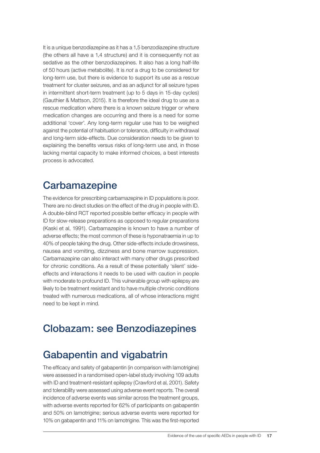It is a unique benzodiazepine as it has a 1,5 benzodiazepine structure (the others all have a 1,4 structure) and it is consequently not as sedative as the other benzodiazepines. It also has a long half-life of 50 hours (active metabolite). It is *not* a drug to be considered for long-term use, but there is evidence to support its use as a rescue treatment for cluster seizures, and as an adjunct for all seizure types in intermittent short-term treatment (up to 5 days in 15-day cycles) (Gauthier & Mattson, 2015). It is therefore the ideal drug to use as a rescue medication where there is a known seizure trigger or where medication changes are occurring and there is a need for some additional 'cover'. Any long-term regular use has to be weighed against the potential of habituation or tolerance, difficulty in withdrawal and long-term side-effects. Due consideration needs to be given to explaining the benefits versus risks of long-term use and, in those lacking mental capacity to make informed choices, a best interests process is advocated.

#### **Carbamazepine**

The evidence for prescribing carbamazepine in ID populations is poor. There are no direct studies on the effect of the drug in people with ID. A double-blind RCT reported possible better efficacy in people with ID for slow-release preparations as opposed to regular preparations (Kaski et al, 1991). Carbamazepine is known to have a number of adverse effects; the most common of these is hyponatraemia in up to 40% of people taking the drug. Other side-effects include drowsiness, nausea and vomiting, dizziness and bone marrow suppression. Carbamazepine can also interact with many other drugs prescribed for chronic conditions. As a result of these potentially 'silent' sideeffects and interactions it needs to be used with caution in people with moderate to profound ID. This vulnerable group with epilepsy are likely to be treatment resistant and to have multiple chronic conditions treated with numerous medications, all of whose interactions might need to be kept in mind.

### Clobazam: see Benzodiazepines

#### Gabapentin and vigabatrin

The efficacy and safety of gabapentin (in comparison with lamotrigine) were assessed in a randomised open-label study involving 109 adults with ID and treatment-resistant epilepsy (Crawford et al, 2001). Safety and tolerability were assessed using adverse event reports. The overall incidence of adverse events was similar across the treatment groups, with adverse events reported for 62% of participants on gabapentin and 50% on lamotrigine; serious adverse events were reported for 10% on gabapentin and 11% on lamotrigine. This was the first-reported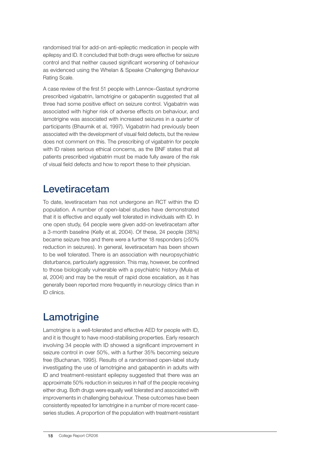randomised trial for add-on anti-epileptic medication in people with epilepsy and ID. It concluded that both drugs were effective for seizure control and that neither caused significant worsening of behaviour as evidenced using the Whelan & Speake Challenging Behaviour Rating Scale.

A case review of the first 51 people with Lennox–Gastaut syndrome prescribed vigabatrin, lamotrigine or gabapentin suggested that all three had some positive effect on seizure control. Vigabatrin was associated with higher risk of adverse effects on behaviour, and lamotrigine was associated with increased seizures in a quarter of participants (Bhaumik et al, 1997). Vigabatrin had previously been associated with the development of visual field defects, but the review does not comment on this. The prescribing of vigabatrin for people with ID raises serious ethical concerns, as the BNF states that all patients prescribed vigabatrin must be made fully aware of the risk of visual field defects and how to report these to their physician.

#### Levetiracetam

To date, levetiracetam has not undergone an RCT within the ID population. A number of open-label studies have demonstrated that it is effective and equally well tolerated in individuals with ID. In one open study, 64 people were given add-on levetiracetam after a 3-month baseline (Kelly et al, 2004). Of these, 24 people (38%) became seizure free and there were a further 18 responders (≥50% reduction in seizures). In general, levetiracetam has been shown to be well tolerated. There is an association with neuropsychiatric disturbance, particularly aggression. This may, however, be confined to those biologically vulnerable with a psychiatric history (Mula et al, 2004) and may be the result of rapid dose escalation, as it has generally been reported more frequently in neurology clinics than in ID clinics.

### **Lamotrigine**

Lamotrigine is a well-tolerated and effective AED for people with ID, and it is thought to have mood-stabilising properties. Early research involving 34 people with ID showed a significant improvement in seizure control in over 50%, with a further 35% becoming seizure free (Buchanan, 1995). Results of a randomised open-label study investigating the use of lamotrigine and gabapentin in adults with ID and treatment-resistant epilepsy suggested that there was an approximate 50% reduction in seizures in half of the people receiving either drug. Both drugs were equally well tolerated and associated with improvements in challenging behaviour. These outcomes have been consistently repeated for lamotrigine in a number of more recent caseseries studies. A proportion of the population with treatment-resistant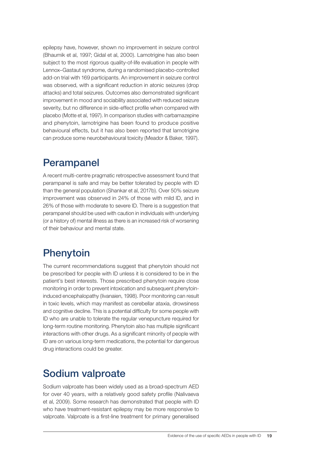epilepsy have, however, shown no improvement in seizure control (Bhaumik et al, 1997; Gidal et al, 2000). Lamotrigine has also been subject to the most rigorous quality-of-life evaluation in people with Lennox–Gastaut syndrome, during a randomised placebo-controlled add-on trial with 169 participants. An improvement in seizure control was observed, with a significant reduction in atonic seizures (drop attacks) and total seizures. Outcomes also demonstrated significant improvement in mood and sociability associated with reduced seizure severity, but no difference in side-effect profile when compared with placebo (Motte et al, 1997). In comparison studies with carbamazepine and phenytoin, lamotrigine has been found to produce positive behavioural effects, but it has also been reported that lamotrigine can produce some neurobehavioural toxicity (Meador & Baker, 1997).

#### Perampanel

A recent multi-centre pragmatic retrospective assessment found that perampanel is safe and may be better tolerated by people with ID than the general population (Shankar et al, 2017b). Over 50% seizure improvement was observed in 24% of those with mild ID, and in 26% of those with moderate to severe ID. There is a suggestion that perampanel should be used with caution in individuals with underlying (or a history of) mental illness as there is an increased risk of worsening of their behaviour and mental state.

### **Phenytoin**

The current recommendations suggest that phenytoin should not be prescribed for people with ID unless it is considered to be in the patient's best interests. Those prescribed phenytoin require close monitoring in order to prevent intoxication and subsequent phenytoininduced encephalopathy (Iivanaien, 1998). Poor monitoring can result in toxic levels, which may manifest as cerebellar ataxia, drowsiness and cognitive decline. This is a potential difficulty for some people with ID who are unable to tolerate the regular venepuncture required for long-term routine monitoring. Phenytoin also has multiple significant interactions with other drugs. As a significant minority of people with ID are on various long-term medications, the potential for dangerous drug interactions could be greater.

#### Sodium valproate

Sodium valproate has been widely used as a broad-spectrum AED for over 40 years, with a relatively good safety profile (Nalivaeva et al, 2009). Some research has demonstrated that people with ID who have treatment-resistant epilepsy may be more responsive to valproate. Valproate is a first-line treatment for primary generalised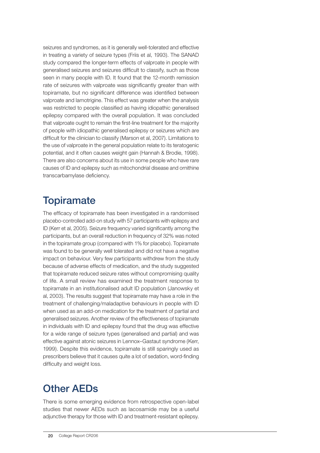seizures and syndromes, as it is generally well-tolerated and effective in treating a variety of seizure types (Friis et al, 1993). The SANAD study compared the longer-term effects of valproate in people with generalised seizures and seizures difficult to classify, such as those seen in many people with ID. It found that the 12-month remission rate of seizures with valproate was significantly greater than with topiramate, but no significant difference was identified between valproate and lamotrigine. This effect was greater when the analysis was restricted to people classified as having idiopathic generalised epilepsy compared with the overall population. It was concluded that valproate ought to remain the first-line treatment for the majority of people with idiopathic generalised epilepsy or seizures which are difficult for the clinician to classify (Marson et al, 2007). Limitations to the use of valproate in the general population relate to its teratogenic potential, and it often causes weight gain (Hannah & Brodie, 1998). There are also concerns about its use in some people who have rare causes of ID and epilepsy such as mitochondrial disease and ornithine transcarbamylase deficiency.

#### **Topiramate**

The efficacy of topiramate has been investigated in a randomised placebo-controlled add-on study with 57 participants with epilepsy and ID (Kerr et al, 2005). Seizure frequency varied significantly among the participants, but an overall reduction in frequency of 32% was noted in the topiramate group (compared with 1% for placebo). Topiramate was found to be generally well tolerated and did not have a negative impact on behaviour. Very few participants withdrew from the study because of adverse effects of medication, and the study suggested that topiramate reduced seizure rates without compromising quality of life. A small review has examined the treatment response to topiramate in an institutionalised adult ID population (Janowsky et al, 2003). The results suggest that topiramate may have a role in the treatment of challenging/maladaptive behaviours in people with ID when used as an add-on medication for the treatment of partial and generalised seizures. Another review of the effectiveness of topiramate in individuals with ID and epilepsy found that the drug was effective for a wide range of seizure types (generalised and partial) and was effective against atonic seizures in Lennox–Gastaut syndrome (Kerr, 1999). Despite this evidence, topiramate is still sparingly used as prescribers believe that it causes quite a lot of sedation, word-finding difficulty and weight loss.

#### Other AEDs

There is some emerging evidence from retrospective open-label studies that newer AEDs such as lacosamide may be a useful adjunctive therapy for those with ID and treatment-resistant epilepsy.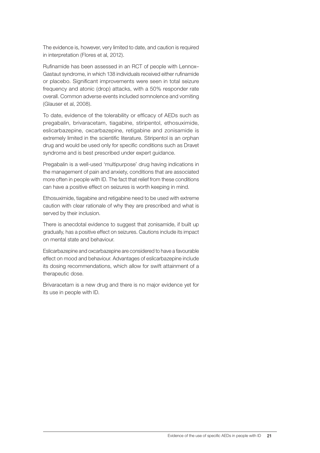The evidence is, however, very limited to date, and caution is required in interpretation (Flores et al, 2012).

Rufinamide has been assessed in an RCT of people with Lennox– Gastaut syndrome, in which 138 individuals received either rufinamide or placebo. Significant improvements were seen in total seizure frequency and atonic (drop) attacks, with a 50% responder rate overall. Common adverse events included somnolence and vomiting (Glauser et al, 2008).

To date, evidence of the tolerability or efficacy of AEDs such as pregabalin, brivaracetam, tiagabine, stiripentol, ethosuximide, eslicarbazepine, oxcarbazepine, retigabine and zonisamide is extremely limited in the scientific literature. Stiripentol is an orphan drug and would be used only for specific conditions such as Dravet syndrome and is best prescribed under expert guidance.

Pregabalin is a well-used 'multipurpose' drug having indications in the management of pain and anxiety, conditions that are associated more often in people with ID. The fact that relief from these conditions can have a positive effect on seizures is worth keeping in mind.

Ethosuximide, tiagabine and retigabine need to be used with extreme caution with clear rationale of why they are prescribed and what is served by their inclusion.

There is anecdotal evidence to suggest that zonisamide, if built up gradually, has a positive effect on seizures. Cautions include its impact on mental state and behaviour.

Eslicarbazepine and oxcarbazepine are considered to have a favourable effect on mood and behaviour. Advantages of eslicarbazepine include its dosing recommendations, which allow for swift attainment of a therapeutic dose.

Brivaracetam is a new drug and there is no major evidence yet for its use in people with ID.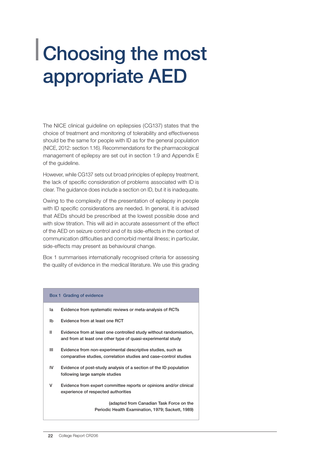### Choosing the most appropriate AED

The NICE clinical guideline on epilepsies (CG137) states that the choice of treatment and monitoring of tolerability and effectiveness should be the same for people with ID as for the general population (NICE, 2012: section 1.16). Recommendations for the pharmacological management of epilepsy are set out in section 1.9 and Appendix E of the guideline.

However, while CG137 sets out broad principles of epilepsy treatment, the lack of specific consideration of problems associated with ID is clear. The guidance does include a section on ID, but it is inadequate.

Owing to the complexity of the presentation of epilepsy in people with ID specific considerations are needed. In general, it is advised that AEDs should be prescribed at the lowest possible dose and with slow titration. This will aid in accurate assessment of the effect of the AED on seizure control and of its side-effects in the context of communication difficulties and comorbid mental illness; in particular, side-effects may present as behavioural change.

Box 1 summarises internationally recognised criteria for assessing the quality of evidence in the medical literature. We use this grading

|    | Box 1 Grading of evidence                                                                                                          |
|----|------------------------------------------------------------------------------------------------------------------------------------|
| la | Evidence from systematic reviews or meta-analysis of RCTs                                                                          |
| Ib | Evidence from at least one RCT                                                                                                     |
| Ш  | Evidence from at least one controlled study without randomisation,<br>and from at least one other type of quasi-experimental study |
| Ш  | Evidence from non-experimental descriptive studies, such as<br>comparative studies, correlation studies and case–control studies   |
| IV | Evidence of post-study analysis of a section of the ID population<br>following large sample studies                                |
| v  | Evidence from expert committee reports or opinions and/or clinical<br>experience of respected authorities                          |
|    | (adapted from Canadian Task Force on the<br>Periodic Health Examination, 1979; Sackett, 1989)                                      |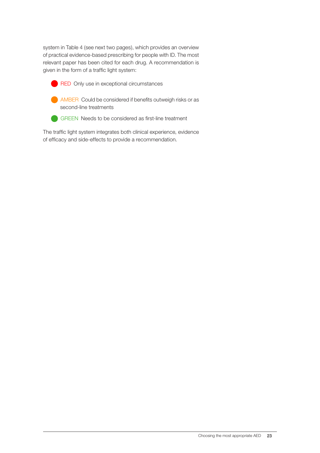system in Table 4 (see next two pages), which provides an overview of practical evidence-based prescribing for people with ID. The most relevant paper has been cited for each drug. A recommendation is given in the form of a traffic light system:

**RED** Only use in exceptional circumstances



**AMBER** Could be considered if benefits outweigh risks or as second-line treatments



GREEN Needs to be considered as first-line treatment

The traffic light system integrates both clinical experience, evidence of efficacy and side-effects to provide a recommendation.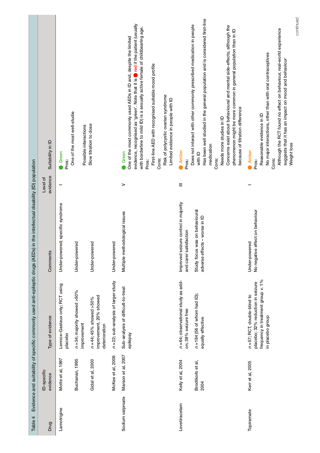| Evidence and suitability of specific commonly used anti-epileptic drugs (AEDs) in the intellectual disability (ID) population | Suitability in ID<br>evidence<br>Level of<br>Comments | One of the most well-studie<br>Green<br>Pros:<br>Under-powered; specific syndrome<br>Under-powered | Possible interactions | Slow titration to dose<br>Under-powered                                | Under-powered                        | evidence, recognised as 'green'. Note that it is <b>one of if the patient (usually</b><br>with borderline to mild ID) is a sexually active female of childbearing age.<br>One of the most commonly used AEDs in ID and, despite the limited<br>First-line AED with recognised suitable mood profile<br>Risk of polycystic ovarian syndrome<br>Limited evidence in people with ID<br>Green<br>Cons:<br>Pros:<br>><br>Multiple methodological issues | Amber<br>Pros:<br>$\equiv$<br>I seizure control in majority<br>satisfaction<br>Improved<br>and carer | Has been well studied in the general population and is considered first-line<br>Does not interact with other commonly prescribed medication in people<br>Needs more studies in ID<br>medication<br>with ID<br>Cons:<br>Study focus was on behavioural<br>adverse effects - worse in ID | Concerns exist about behavioural and mental side-effects, although the<br>phenomenon might be more common in general population than in ID<br>because of titration difference | No major interactions, other than with oral contraceptives<br>Reasonable evidence in ID<br>Amber<br>Cons:<br>Pros:<br>No negative effect on behaviour<br>Under-powered | Although the RCT found no effect on behaviour, real-world experience |
|-------------------------------------------------------------------------------------------------------------------------------|-------------------------------------------------------|----------------------------------------------------------------------------------------------------|-----------------------|------------------------------------------------------------------------|--------------------------------------|----------------------------------------------------------------------------------------------------------------------------------------------------------------------------------------------------------------------------------------------------------------------------------------------------------------------------------------------------------------------------------------------------------------------------------------------------|------------------------------------------------------------------------------------------------------|----------------------------------------------------------------------------------------------------------------------------------------------------------------------------------------------------------------------------------------------------------------------------------------|-------------------------------------------------------------------------------------------------------------------------------------------------------------------------------|------------------------------------------------------------------------------------------------------------------------------------------------------------------------|----------------------------------------------------------------------|
|                                                                                                                               |                                                       |                                                                                                    |                       |                                                                        |                                      |                                                                                                                                                                                                                                                                                                                                                                                                                                                    |                                                                                                      |                                                                                                                                                                                                                                                                                        |                                                                                                                                                                               |                                                                                                                                                                        |                                                                      |
|                                                                                                                               | Type of evidence                                      | Lennox-Gastaux only; RCT using<br>$n = 34$ ; majority showed >50%<br>placebo                       | improvement           | improvement, 20% showed<br>$n = 44$ ; 45% showed >50%<br>deterioration | n = 22; sub-analysis of larger study | Sub-analysis of difficult-to-treat<br>epilepsy                                                                                                                                                                                                                                                                                                                                                                                                     | n =64; observational study as add-<br>on; 38% seizure free                                           | $n = 184$ (56 of whom had ID);<br>equally effective                                                                                                                                                                                                                                    |                                                                                                                                                                               | frequency in treatment group v. 1%<br>placebo; 32% reduction in seizure<br>$n = 57$ ; RCT, double-blind to<br>in placebo group                                         |                                                                      |
|                                                                                                                               | ID-specific<br>evidence                               | Motte et al, 1997<br>Buchanan, 1995                                                                |                       | Gidal et al, 2000                                                      | McKee et al, 2006                    | Marson et al, 2007                                                                                                                                                                                                                                                                                                                                                                                                                                 | Kelly et al, 2004                                                                                    | Brodtkorb et al,<br>2004                                                                                                                                                                                                                                                               |                                                                                                                                                                               | Kerr et al, 2005                                                                                                                                                       |                                                                      |
| Table 4                                                                                                                       | Drug                                                  | Lamotrigine                                                                                        |                       |                                                                        |                                      | Sodium valproate                                                                                                                                                                                                                                                                                                                                                                                                                                   | Levetiracetam                                                                                        |                                                                                                                                                                                                                                                                                        |                                                                                                                                                                               | Topiramate                                                                                                                                                             |                                                                      |

continued *continued*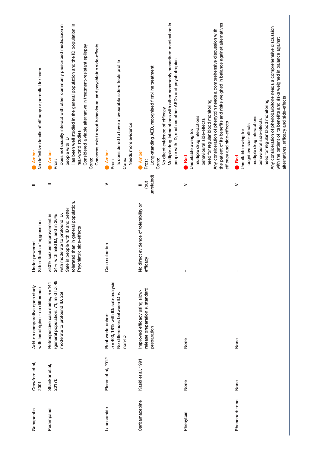| Gabapentin     | Crawford et al,<br><b>2001</b> | Add-on comparative open study<br>with lamotrigine - no difference                                           | Side-effects of aggression<br>Under-powered                                                                                                                                                            | =                         | No definitive details of efficacy or potential for harm<br>Amber                                                                                                                                                                                                                                                                                          |
|----------------|--------------------------------|-------------------------------------------------------------------------------------------------------------|--------------------------------------------------------------------------------------------------------------------------------------------------------------------------------------------------------|---------------------------|-----------------------------------------------------------------------------------------------------------------------------------------------------------------------------------------------------------------------------------------------------------------------------------------------------------------------------------------------------------|
| Perampanel     | Shankar et al,<br>2017b        | (general population: 71; mild ID: 48;<br>Retrospective case series, n = 144<br>moderate to profound ID: 25) | tolerated than in general population.<br>Safe in people with ID and better<br>with moderate to profound ID.<br>>50% seizure improvement in<br>24% with mild ID, and in 26%<br>Psychiatric side-effects | Ξ                         | Has been well studied in the general population and the ID population in<br>Does not usually interact with other commonly prescribed medication in<br>Concerns exist about behavioural and psychiatric side-effects<br>Considered a viable alternative in treatment-resistant epilepsy<br>real-world studies<br>people with ID<br>Amber<br>Cons:<br>Pros: |
| Lacosamide     | Flores et al, 2012             | $n = 403$ , 18% with ID: sub-analysis<br>No differences between ID v.<br>Real-world cohort<br>non-ID        | selection<br>Case                                                                                                                                                                                      | ≥                         | Is considered to have a favourable side-effects profile<br>Needs more evidence<br>Amber<br>Cons:<br>Pros:                                                                                                                                                                                                                                                 |
| Carbamazepine  | Kaski et al, 1991              | release preparation v. standard<br>Improved efficacy using slow-<br>preparation                             | No direct evidence of tolerability or<br>efficacy                                                                                                                                                      | unrelated)<br>(but<br>$=$ | Multiple drug interactions with other commonly prescribed medication in<br>people with ID, such as other AEDs and psychotropics<br>Long-standing AED, recognised first-line treatment<br>No direct evidence of efficacy<br>Amber<br>Cons:<br>Pros:                                                                                                        |
| Phenytoin      | None                           | None                                                                                                        | ı                                                                                                                                                                                                      | >                         | the patient of its benefits and risks weighed in balance against alternatives,<br>Any consideration of phenytoin needs a comprehensive discussion with<br>need for regular blood monitoring<br>multiple drug interactions<br>behavioural side-effects<br>efficacy and side-effects<br>Unsuitable owing to:<br>Red                                         |
| Phenobarbitone | None                           | None                                                                                                        | I                                                                                                                                                                                                      | >                         | Any consideration of phenobarbitone needs a comprehensive discussion<br>with the patient of its benefits and risks weighed in balance against<br>alternatives, efficacy and side-effects<br>need for regular blood monitoring<br>multiple drug interactions<br>behavioural side-effects<br>cognitive side-effects<br>Unsuitable owing to:<br>Red          |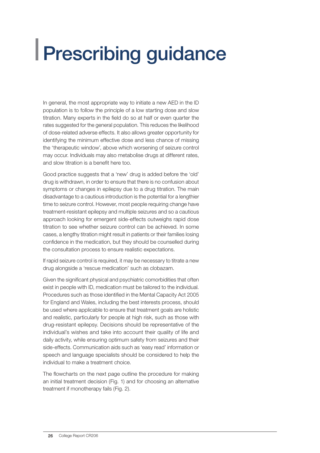### Prescribing guidance

In general, the most appropriate way to initiate a new AED in the ID population is to follow the principle of a low starting dose and slow titration. Many experts in the field do so at half or even quarter the rates suggested for the general population. This reduces the likelihood of dose-related adverse effects. It also allows greater opportunity for identifying the minimum effective dose and less chance of missing the 'therapeutic window', above which worsening of seizure control may occur. Individuals may also metabolise drugs at different rates, and slow titration is a benefit here too.

Good practice suggests that a 'new' drug is added before the 'old' drug is withdrawn, in order to ensure that there is no confusion about symptoms or changes in epilepsy due to a drug titration. The main disadvantage to a cautious introduction is the potential for a lengthier time to seizure control. However, most people requiring change have treatment-resistant epilepsy and multiple seizures and so a cautious approach looking for emergent side-effects outweighs rapid dose titration to see whether seizure control can be achieved. In some cases, a lengthy titration might result in patients or their families losing confidence in the medication, but they should be counselled during the consultation process to ensure realistic expectations.

If rapid seizure control is required, it may be necessary to titrate a new drug alongside a 'rescue medication' such as clobazam.

Given the significant physical and psychiatric comorbidities that often exist in people with ID, medication must be tailored to the individual. Procedures such as those identified in the Mental Capacity Act 2005 for England and Wales, including the best interests process, should be used where applicable to ensure that treatment goals are holistic and realistic, particularly for people at high risk, such as those with drug-resistant epilepsy. Decisions should be representative of the individual's wishes and take into account their quality of life and daily activity, while ensuring optimum safety from seizures and their side-effects. Communication aids such as 'easy read' information or speech and language specialists should be considered to help the individual to make a treatment choice.

The flowcharts on the next page outline the procedure for making an initial treatment decision (Fig. 1) and for choosing an alternative treatment if monotherapy fails (Fig. 2).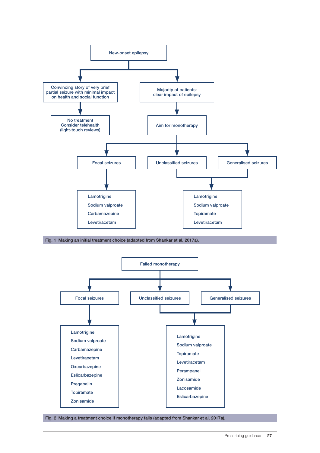

Fig. 1 Making an initial treatment choice (adapted from Shankar et al, 2017a).



Fig. 2 Making a treatment choice if monotherapy fails (adapted from Shankar et al, 2017a).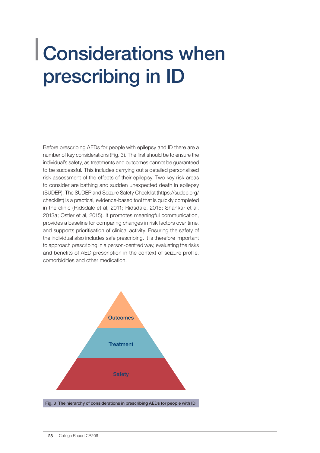### Considerations when prescribing in ID

Before prescribing AEDs for people with epilepsy and ID there are a number of key considerations (Fig. 3). The first should be to ensure the individual's safety, as treatments and outcomes cannot be guaranteed to be successful. This includes carrying out a detailed personalised risk assessment of the effects of their epilepsy. Two key risk areas to consider are bathing and sudden unexpected death in epilepsy (SUDEP). The SUDEP and Seizure Safety Checklist (https://sudep.org/ checklist) is a practical, evidence-based tool that is quickly completed in the clinic (Ridsdale et al, 2011; Ridsdale, 2015; Shankar et al, 2013a; Ostler et al, 2015). It promotes meaningful communication, provides a baseline for comparing changes in risk factors over time, and supports prioritisation of clinical activity. Ensuring the safety of the individual also includes safe prescribing. It is therefore important to approach prescribing in a person-centred way, evaluating the risks and benefits of AED prescription in the context of seizure profile, comorbidities and other medication.

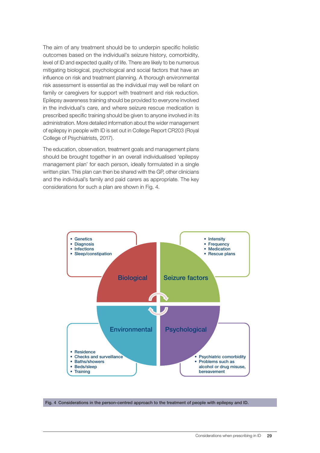The aim of any treatment should be to underpin specific holistic outcomes based on the individual's seizure history, comorbidity, level of ID and expected quality of life. There are likely to be numerous mitigating biological, psychological and social factors that have an influence on risk and treatment planning. A thorough environmental risk assessment is essential as the individual may well be reliant on family or caregivers for support with treatment and risk reduction. Epilepsy awareness training should be provided to everyone involved in the individual's care, and where seizure rescue medication is prescribed specific training should be given to anyone involved in its administration. More detailed information about the wider management of epilepsy in people with ID is set out in College Report CR203 (Royal College of Psychiatrists, 2017).

The education, observation, treatment goals and management plans should be brought together in an overall individualised 'epilepsy management plan' for each person, ideally formulated in a single written plan. This plan can then be shared with the GP, other clinicians and the individual's family and paid carers as appropriate. The key considerations for such a plan are shown in Fig. 4.



Fig. 4 Considerations in the person-centred approach to the treatment of people with epilepsy and ID.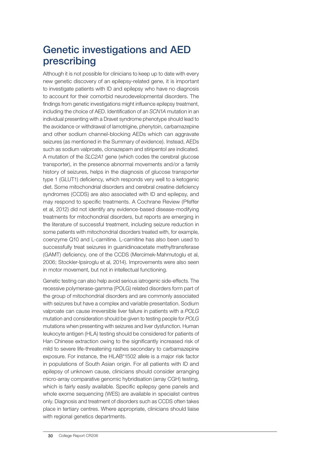#### Genetic investigations and AED prescribing

Although it is not possible for clinicians to keep up to date with every new genetic discovery of an epilepsy-related gene, it is important to investigate patients with ID and epilepsy who have no diagnosis to account for their comorbid neurodevelopmental disorders. The findings from genetic investigations might influence epilepsy treatment, including the choice of AED. Identification of an *SCN1A* mutation in an individual presenting with a Dravet syndrome phenotype should lead to the avoidance or withdrawal of lamotrigine, phenytoin, carbamazepine and other sodium channel-blocking AEDs which can aggravate seizures (as mentioned in the Summary of evidence). Instead, AEDs such as sodium valproate, clonazepam and stiripentol are indicated. A mutation of the *SLC2A1* gene (which codes the cerebral glucose transporter), in the presence abnormal movements and/or a family history of seizures, helps in the diagnosis of glucose transporter type 1 (GLUT1) deficiency, which responds very well to a ketogenic diet. Some mitochondrial disorders and cerebral creatine deficiency syndromes (CCDS) are also associated with ID and epilepsy, and may respond to specific treatments. A Cochrane Review (Pfeffer et al, 2012) did not identify any evidence-based disease-modifying treatments for mitochondrial disorders, but reports are emerging in the literature of successful treatment, including seizure reduction in some patients with mitochondrial disorders treated with, for example, coenzyme Q10 and L-carnitine. L-carnitine has also been used to successfully treat seizures in guanidinoacetate methyltransferase (GAMT) deficiency, one of the CCDS (Mercimek-Mahmutoglu et al, 2006; Stockler-Ipsiroglu et al, 2014). Improvements were also seen in motor movement, but not in intellectual functioning.

Genetic testing can also help avoid serious iatrogenic side-effects. The recessive polymerase-gamma (POLG) related disorders form part of the group of mitochondrial disorders and are commonly associated with seizures but have a complex and variable presentation. Sodium valproate can cause irreversible liver failure in patients with a *POLG* mutation and consideration should be given to testing people for *POLG* mutations when presenting with seizures and liver dysfunction. Human leukocyte antigen (HLA) testing should be considered for patients of Han Chinese extraction owing to the significantly increased risk of mild to severe life-threatening rashes secondary to carbamazepine exposure. For instance, the HLAB\*1502 allele is a major risk factor in populations of South Asian origin. For all patients with ID and epilepsy of unknown cause, clinicians should consider arranging micro-array comparative genomic hybridisation (array CGH) testing, which is fairly easily available. Specific epilepsy gene panels and whole exome sequencing (WES) are available in specialist centres only. Diagnosis and treatment of disorders such as CCDS often takes place in tertiary centres. Where appropriate, clinicians should liaise with regional genetics departments.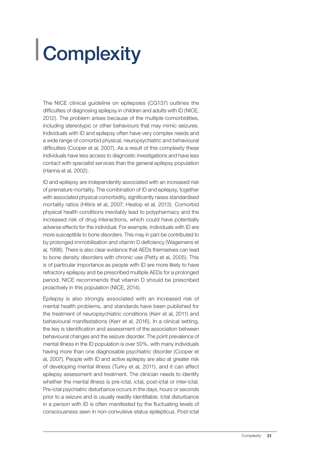## Complexity

The NICE clinical guideline on epilepsies (CG137) outlines the difficulties of diagnosing epilepsy in children and adults with ID (NICE, 2012). The problem arises because of the multiple comorbidities, including stereotypic or other behaviours that may mimic seizures. Individuals with ID and epilepsy often have very complex needs and a wide range of comorbid physical, neuropsychiatric and behavioural difficulties (Cooper et al, 2007). As a result of this complexity these individuals have less access to diagnostic investigations and have less contact with specialist services than the general epilepsy population (Hanna et al, 2002).

ID and epilepsy are independently associated with an increased risk of premature mortality. The combination of ID and epilepsy, together with associated physical comorbidity, significantly raises standardised mortality ratios (Hitiris et al, 2007; Heslop et al, 2013). Comorbid physical health conditions inevitably lead to polypharmacy and the increased risk of drug interactions, which could have potentially adverse effects for the individual. For example, individuals with ID are more susceptible to bone disorders. This may in part be contributed to by prolonged immobilisation and vitamin D deficiency (Wagemens et al, 1998). There is also clear evidence that AEDs themselves can lead to bone density disorders with chronic use (Petty et al, 2005). This is of particular importance as people with ID are more likely to have refractory epilepsy and be prescribed multiple AEDs for a prolonged period. NICE recommends that vitamin D should be prescribed proactively in this population (NICE, 2014).

Epilepsy is also strongly associated with an increased risk of mental health problems, and standards have been published for the treatment of neuropsychiatric conditions (Kerr et al, 2011) and behavioural manifestations (Kerr et al, 2016). In a clinical setting, the key is identification and assessment of the association between behavioural changes and the seizure disorder. The point prevalence of mental illness in the ID population is over 50%, with many individuals having more than one diagnosable psychiatric disorder (Cooper et al, 2007). People with ID and active epilepsy are also at greater risk of developing mental illness (Turky et al, 2011), and it can affect epilepsy assessment and treatment. The clinician needs to identify whether the mental illness is pre-ictal, ictal, post-ictal or inter-ictal. Pre-ictal psychiatric disturbance occurs in the days, hours or seconds prior to a seizure and is usually readily identifiable. Ictal disturbance in a person with ID is often manifested by the fluctuating levels of consciousness seen in non-convulsive status epilepticus. Post-ictal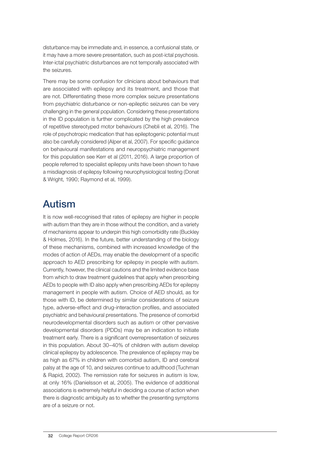disturbance may be immediate and, in essence, a confusional state, or it may have a more severe presentation, such as post-ictal psychosis. Inter-ictal psychiatric disturbances are not temporally associated with the seizures.

There may be some confusion for clinicians about behaviours that are associated with epilepsy and its treatment, and those that are not. Differentiating these more complex seizure presentations from psychiatric disturbance or non-epileptic seizures can be very challenging in the general population. Considering these presentations in the ID population is further complicated by the high prevalence of repetitive stereotyped motor behaviours (Chebli et al, 2016). The role of psychotropic medication that has epileptogenic potential must also be carefully considered (Alper et al, 2007). For specific guidance on behavioural manifestations and neuropsychiatric management for this population see Kerr et al (2011, 2016). A large proportion of people referred to specialist epilepsy units have been shown to have a misdiagnosis of epilepsy following neurophysiological testing (Donat & Wright, 1990; Raymond et al, 1999).

#### Autism

It is now well-recognised that rates of epilepsy are higher in people with autism than they are in those without the condition, and a variety of mechanisms appear to underpin this high comorbidity rate (Buckley & Holmes, 2016). In the future, better understanding of the biology of these mechanisms, combined with increased knowledge of the modes of action of AEDs, may enable the development of a specific approach to AED prescribing for epilepsy in people with autism. Currently, however, the clinical cautions and the limited evidence base from which to draw treatment guidelines that apply when prescribing AEDs to people with ID also apply when prescribing AEDs for epilepsy management in people with autism. Choice of AED should, as for those with ID, be determined by similar considerations of seizure type, adverse-effect and drug-interaction profiles, and associated psychiatric and behavioural presentations. The presence of comorbid neurodevelopmental disorders such as autism or other pervasive developmental disorders (PDDs) may be an indication to initiate treatment early. There is a significant overrepresentation of seizures in this population. About 30–40% of children with autism develop clinical epilepsy by adolescence. The prevalence of epilepsy may be as high as 67% in children with comorbid autism, ID and cerebral palsy at the age of 10, and seizures continue to adulthood (Tuchman & Rapid, 2002). The remission rate for seizures in autism is low, at only 16% (Danielsson et al, 2005). The evidence of additional associations is extremely helpful in deciding a course of action when there is diagnostic ambiguity as to whether the presenting symptoms are of a seizure or not.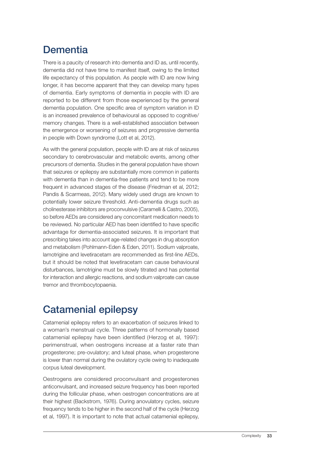### **Dementia**

There is a paucity of research into dementia and ID as, until recently, dementia did not have time to manifest itself, owing to the limited life expectancy of this population. As people with ID are now living longer, it has become apparent that they can develop many types of dementia. Early symptoms of dementia in people with ID are reported to be different from those experienced by the general dementia population. One specific area of symptom variation in ID is an increased prevalence of behavioural as opposed to cognitive/ memory changes. There is a well-established association between the emergence or worsening of seizures and progressive dementia in people with Down syndrome (Lott et al, 2012).

As with the general population, people with ID are at risk of seizures secondary to cerebrovascular and metabolic events, among other precursors of dementia. Studies in the general population have shown that seizures or epilepsy are substantially more common in patients with dementia than in dementia-free patients and tend to be more frequent in advanced stages of the disease (Friedman et al, 2012; Pandis & Scarmeas, 2012). Many widely used drugs are known to potentially lower seizure threshold. Anti-dementia drugs such as cholinesterase inhibitors are proconvulsive (Caramelli & Castro, 2005), so before AEDs are considered any concomitant medication needs to be reviewed. No particular AED has been identified to have specific advantage for dementia-associated seizures. It is important that prescribing takes into account age-related changes in drug absorption and metabolism (Pohlmann-Eden & Eden, 2011). Sodium valproate, lamotrigine and levetiracetam are recommended as first-line AEDs, but it should be noted that levetiracetam can cause behavioural disturbances, lamotrigine must be slowly titrated and has potential for interaction and allergic reactions, and sodium valproate can cause tremor and thrombocytopaenia.

### Catamenial epilepsy

Catamenial epilepsy refers to an exacerbation of seizures linked to a woman's menstrual cycle. Three patterns of hormonally based catamenial epilepsy have been identified (Herzog et al, 1997): perimenstrual, when oestrogens increase at a faster rate than progesterone; pre-ovulatory; and luteal phase, when progesterone is lower than normal during the ovulatory cycle owing to inadequate corpus luteal development.

Oestrogens are considered proconvulsant and progesterones anticonvulsant, and increased seizure frequency has been reported during the follicular phase, when oestrogen concentrations are at their highest (Backstrom, 1976). During anovulatory cycles, seizure frequency tends to be higher in the second half of the cycle (Herzog et al, 1997). It is important to note that actual catamenial epilepsy,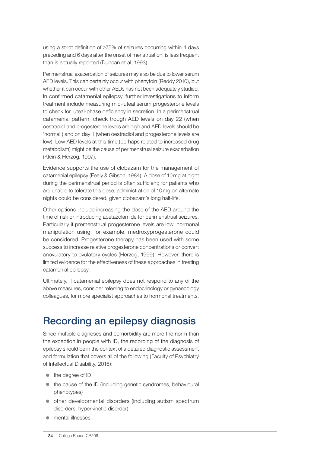using a strict definition of ≥75% of seizures occurring within 4 days preceding and 6 days after the onset of menstruation, is less frequent than is actually reported (Duncan et al, 1993).

Perimenstrual exacerbation of seizures may also be due to lower serum AED levels. This can certainly occur with phenytoin (Reddy 2010), but whether it can occur with other AEDs has not been adequately studied. In confirmed catamenial epilepsy, further investigations to inform treatment include measuring mid-luteal serum progesterone levels to check for luteal-phase deficiency in secretion. In a perimenstrual catamenial pattern, check trough AED levels on day 22 (when oestradiol and progesterone levels are high and AED levels should be 'normal') and on day 1 (when oestradiol and progesterone levels are low). Low AED levels at this time (perhaps related to increased drug metabolism) might be the cause of perimenstrual seizure exacerbation (Klein & Herzog, 1997).

Evidence supports the use of clobazam for the management of catamenial epilepsy (Feely & Gibson, 1984). A dose of 10mg at night during the perimenstrual period is often sufficient; for patients who are unable to tolerate this dose, administration of 10mg on alternate nights could be considered, given clobazam's long half-life.

Other options include increasing the dose of the AED around the time of risk or introducing acetazolamide for perimenstrual seizures. Particularly if premenstrual progesterone levels are low, hormonal manipulation using, for example, medroxyprogesterone could be considered. Progesterone therapy has been used with some success to increase relative progesterone concentrations or convert anovulatory to ovulatory cycles (Herzog, 1999). However, there is limited evidence for the effectiveness of these approaches in treating catamenial epilepsy.

Ultimately, if catamenial epilepsy does not respond to any of the above measures, consider referring to endocrinology or gynaecology colleagues, for more specialist approaches to hormonal treatments.

### Recording an epilepsy diagnosis

Since multiple diagnoses and comorbidity are more the norm than the exception in people with ID, the recording of the diagnosis of epilepsy should be in the context of a detailed diagnostic assessment and formulation that covers all of the following (Faculty of Psychiatry of Intellectual Disability, 2016):

- $\bullet$  the degree of ID
- $\bullet$  the cause of the ID (including genetic syndromes, behavioural phenotypes)
- $\bullet$  other developmental disorders (including autism spectrum disorders, hyperkinetic disorder)
- mental illnesses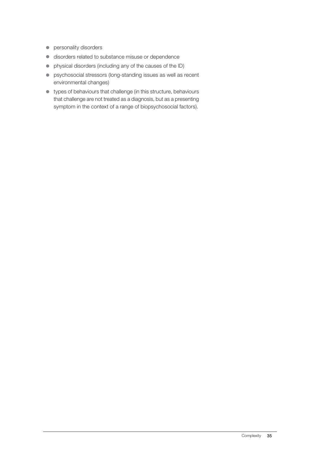- **•** personality disorders
- c disorders related to substance misuse or dependence
- physical disorders (including any of the causes of the ID)
- **•** psychosocial stressors (long-standing issues as well as recent environmental changes)
- $\bullet$  types of behaviours that challenge (in this structure, behaviours that challenge are not treated as a diagnosis, but as a presenting symptom in the context of a range of biopsychosocial factors).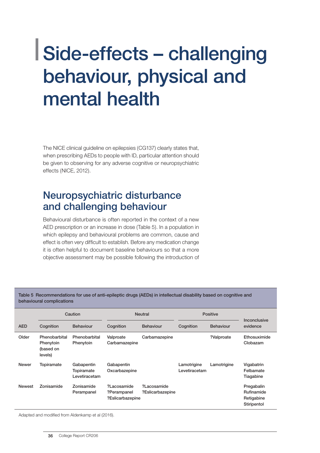### Side-effects – challenging behaviour, physical and mental health

The NICE clinical guideline on epilepsies (CG137) clearly states that, when prescribing AEDs to people with ID, particular attention should be given to observing for any adverse cognitive or neuropsychiatric effects (NICE, 2012).

#### Neuropsychiatric disturbance and challenging behaviour

Behavioural disturbance is often reported in the context of a new AED prescription or an increase in dose (Table 5). In a population in which epilepsy and behavioural problems are common, cause and effect is often very difficult to establish. Before any medication change it is often helpful to document baseline behaviours so that a more objective assessment may be possible following the introduction of

Table 5 Recommendations for use of anti-epileptic drugs (AEDs) in intellectual disability based on cognitive and behavioural complications

|               |                                                    | Caution                                   |                                                | <b>Neutral</b>                  |                              | <b>Positive</b>  | Inconclusive                                          |
|---------------|----------------------------------------------------|-------------------------------------------|------------------------------------------------|---------------------------------|------------------------------|------------------|-------------------------------------------------------|
| <b>AED</b>    | Cognition                                          | <b>Behaviour</b>                          | Cognition                                      | <b>Behaviour</b>                | Cognition                    | <b>Behaviour</b> | evidence                                              |
| Older         | Phenobarbital<br>Phenytoin<br>(based on<br>levels) | Phenobarbital<br>Phenytoin                | Valproate<br>Carbamazepine                     | Carbamazepine                   |                              | ?Valproate       | Ethosuximide<br>Clobazam                              |
| <b>Newer</b>  | Topiramate                                         | Gabapentin<br>Topiramate<br>Levetiracetam | Gabapentin<br>Oxcarbazepine                    |                                 | Lamotrigine<br>Levetiracetam | Lamotrigine      | Vigabatrin<br>Felbamate<br>Tiagabine                  |
| <b>Newest</b> | Zonisamide                                         | Zonisamide<br>Perampanel                  | ?Lacosamide<br>?Perampanel<br>?Eslicarbazepine | ?Lacosamide<br>?Eslicarbazepine |                              |                  | Pregabalin<br>Rufinamide<br>Retigabine<br>Stiripentol |

Adapted and modified from Aldenkamp et al (2016).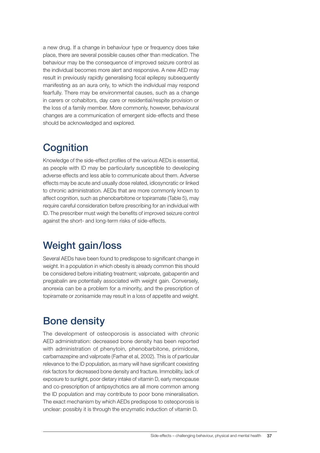a new drug. If a change in behaviour type or frequency does take place, there are several possible causes other than medication. The behaviour may be the consequence of improved seizure control as the individual becomes more alert and responsive. A new AED may result in previously rapidly generalising focal epilepsy subsequently manifesting as an aura only, to which the individual may respond fearfully. There may be environmental causes, such as a change in carers or cohabitors, day care or residential/respite provision or the loss of a family member. More commonly, however, behavioural changes are a communication of emergent side-effects and these should be acknowledged and explored.

#### **Cognition**

Knowledge of the side-effect profiles of the various AEDs is essential, as people with ID may be particularly susceptible to developing adverse effects and less able to communicate about them. Adverse effects may be acute and usually dose related, idiosyncratic or linked to chronic administration. AEDs that are more commonly known to affect cognition, such as phenobarbitone or topiramate (Table 5), may require careful consideration before prescribing for an individual with ID. The prescriber must weigh the benefits of improved seizure control against the short- and long-term risks of side-effects.

### Weight gain/loss

Several AEDs have been found to predispose to significant change in weight. In a population in which obesity is already common this should be considered before initiating treatment; valproate, gabapentin and pregabalin are potentially associated with weight gain. Conversely, anorexia can be a problem for a minority, and the prescription of topiramate or zonisamide may result in a loss of appetite and weight.

### Bone density

The development of osteoporosis is associated with chronic AED administration: decreased bone density has been reported with administration of phenytoin, phenobarbitone, primidone, carbamazepine and valproate (Farhar et al, 2002). This is of particular relevance to the ID population, as many will have significant coexisting risk factors for decreased bone density and fracture. Immobility, lack of exposure to sunlight, poor dietary intake of vitamin D, early menopause and co-prescription of antipsychotics are all more common among the ID population and may contribute to poor bone mineralisation. The exact mechanism by which AEDs predispose to osteoporosis is unclear: possibly it is through the enzymatic induction of vitamin D.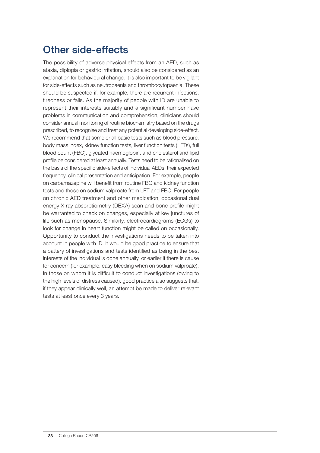### Other side-effects

The possibility of adverse physical effects from an AED, such as ataxia, diplopia or gastric irritation, should also be considered as an explanation for behavioural change. It is also important to be vigilant for side-effects such as neutropaenia and thrombocytopaenia. These should be suspected if, for example, there are recurrent infections, tiredness or falls. As the majority of people with ID are unable to represent their interests suitably and a significant number have problems in communication and comprehension, clinicians should consider annual monitoring of routine biochemistry based on the drugs prescribed, to recognise and treat any potential developing side-effect. We recommend that some or all basic tests such as blood pressure, body mass index, kidney function tests, liver function tests (LFTs), full blood count (FBC), glycated haemoglobin, and cholesterol and lipid profile be considered at least annually. Tests need to be rationalised on the basis of the specific side-effects of individual AEDs, their expected frequency, clinical presentation and anticipation. For example, people on carbamazepine will benefit from routine FBC and kidney function tests and those on sodium valproate from LFT and FBC. For people on chronic AED treatment and other medication, occasional dual energy X-ray absorptiometry (DEXA) scan and bone profile might be warranted to check on changes, especially at key junctures of life such as menopause. Similarly, electrocardiograms (ECGs) to look for change in heart function might be called on occasionally. Opportunity to conduct the investigations needs to be taken into account in people with ID. It would be good practice to ensure that a battery of investigations and tests identified as being in the best interests of the individual is done annually, or earlier if there is cause for concern (for example, easy bleeding when on sodium valproate). In those on whom it is difficult to conduct investigations (owing to the high levels of distress caused), good practice also suggests that, if they appear clinically well, an attempt be made to deliver relevant tests at least once every 3 years.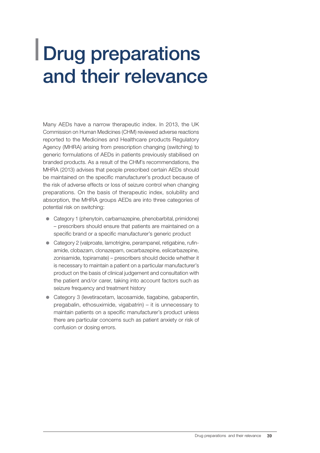### Drug preparations and their relevance

Many AEDs have a narrow therapeutic index. In 2013, the UK Commission on Human Medicines (CHM) reviewed adverse reactions reported to the Medicines and Healthcare products Regulatory Agency (MHRA) arising from prescription changing (switching) to generic formulations of AEDs in patients previously stabilised on branded products. As a result of the CHM's recommendations, the MHRA (2013) advises that people prescribed certain AEDs should be maintained on the specific manufacturer's product because of the risk of adverse effects or loss of seizure control when changing preparations. On the basis of therapeutic index, solubility and absorption, the MHRA groups AEDs are into three categories of potential risk on switching:

- Category 1 (phenytoin, carbamazepine, phenobarbital, primidone) – prescribers should ensure that patients are maintained on a specific brand or a specific manufacturer's generic product
- Category 2 (valproate, lamotrigine, perampanel, retigabine, rufinamide, clobazam, clonazepam, oxcarbazepine, eslicarbazepine, zonisamide, topiramate) – prescribers should decide whether it is necessary to maintain a patient on a particular manufacturer's product on the basis of clinical judgement and consultation with the patient and/or carer, taking into account factors such as seizure frequency and treatment history
- Category 3 (levetiracetam, lacosamide, tiagabine, gabapentin, pregabalin, ethosuximide, vigabatrin) – it is unnecessary to maintain patients on a specific manufacturer's product unless there are particular concerns such as patient anxiety or risk of confusion or dosing errors.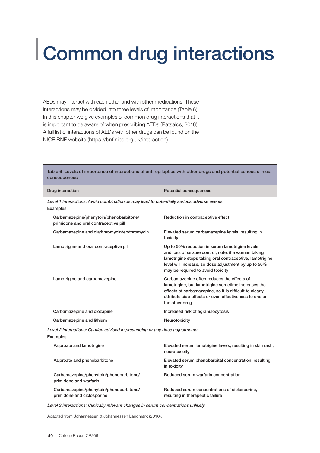## Common drug interactions

AEDs may interact with each other and with other medications. These interactions may be divided into three levels of importance (Table 6). In this chapter we give examples of common drug interactions that it is important to be aware of when prescribing AEDs (Patsalos, 2016). A full list of interactions of AEDs with other drugs can be found on the NICE BNF website (https://bnf.nice.org.uk/interaction).

| Table 6 Levels of importance of interactions of anti-epileptics with other drugs and potential serious clinical<br>consequences |                                                                                                                                                                                                                                                                  |  |  |  |  |
|---------------------------------------------------------------------------------------------------------------------------------|------------------------------------------------------------------------------------------------------------------------------------------------------------------------------------------------------------------------------------------------------------------|--|--|--|--|
| Drug interaction                                                                                                                | <b>Potential consequences</b>                                                                                                                                                                                                                                    |  |  |  |  |
| Level 1 interactions: Avoid combination as may lead to potentially serious adverse events<br>Examples                           |                                                                                                                                                                                                                                                                  |  |  |  |  |
| Carbamazepine/phenytoin/phenobarbitone/<br>primidone and oral contraceptive pill                                                | Reduction in contraceptive effect                                                                                                                                                                                                                                |  |  |  |  |
| Carbamazepine and clarithromycin/erythromycin                                                                                   | Elevated serum carbamazepine levels, resulting in<br>toxicity                                                                                                                                                                                                    |  |  |  |  |
| Lamotrigine and oral contraceptive pill                                                                                         | Up to 50% reduction in serum lamotrigine levels<br>and loss of seizure control; note: if a woman taking<br>lamotrigine stops taking oral contraceptive, lamotrigine<br>level will increase, so dose adjustment by up to 50%<br>may be required to avoid toxicity |  |  |  |  |
| Lamotrigine and carbamazepine                                                                                                   | Carbamazepine often reduces the effects of<br>lamotrigine, but lamotrigine sometime increases the<br>effects of carbamazepine, so it is difficult to clearly<br>attribute side-effects or even effectiveness to one or<br>the other drug                         |  |  |  |  |
| Carbamazepine and clozapine                                                                                                     | Increased risk of agranulocytosis                                                                                                                                                                                                                                |  |  |  |  |
| Carbamazepine and lithium                                                                                                       | Neurotoxicity                                                                                                                                                                                                                                                    |  |  |  |  |
| Level 2 interactions: Caution advised in prescribing or any dose adjustments<br>Examples                                        |                                                                                                                                                                                                                                                                  |  |  |  |  |
| Valproate and lamotrigine                                                                                                       | Elevated serum lamotrigine levels, resulting in skin rash,<br>neurotoxicity                                                                                                                                                                                      |  |  |  |  |
| Valproate and phenobarbitone                                                                                                    | Elevated serum phenobarbital concentration, resulting<br>in toxicity                                                                                                                                                                                             |  |  |  |  |
| Carbamazepine/phenytoin/phenobarbitone/<br>primidone and warfarin                                                               | Reduced serum warfarin concentration                                                                                                                                                                                                                             |  |  |  |  |
| Carbamazepine/phenytoin/phenobarbitone/<br>primidone and ciclosporine                                                           | Reduced serum concentrations of ciclosporine,<br>resulting in therapeutic failure                                                                                                                                                                                |  |  |  |  |
|                                                                                                                                 |                                                                                                                                                                                                                                                                  |  |  |  |  |

Level 3 interactions: Clinically relevant changes in serum concentrations unlikely

Adapted from Johannessen & Johannessen Landmark (2010).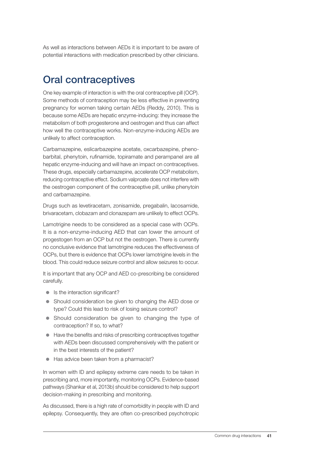As well as interactions between AEDs it is important to be aware of potential interactions with medication prescribed by other clinicians.

#### Oral contraceptives

One key example of interaction is with the oral contraceptive pill (OCP). Some methods of contraception may be less effective in preventing pregnancy for women taking certain AEDs (Reddy, 2010). This is because some AEDs are hepatic enzyme-inducing: they increase the metabolism of both progesterone and oestrogen and thus can affect how well the contraceptive works. Non-enzyme-inducing AEDs are unlikely to affect contraception.

Carbamazepine, eslicarbazepine acetate, oxcarbazepine, phenobarbital, phenytoin, rufinamide, topiramate and perampanel are all hepatic enzyme-inducing and will have an impact on contraceptives. These drugs, especially carbamazepine, accelerate OCP metabolism, reducing contraceptive effect. Sodium valproate does not interfere with the oestrogen component of the contraceptive pill, unlike phenytoin and carbamazepine.

Drugs such as levetiracetam, zonisamide, pregabalin, lacosamide, brivaracetam, clobazam and clonazepam are unlikely to effect OCPs.

Lamotrigine needs to be considered as a special case with OCPs. It is a non-enzyme-inducing AED that can lower the amount of progestogen from an OCP but not the oestrogen. There is currently no conclusive evidence that lamotrigine reduces the effectiveness of OCPs, but there is evidence that OCPs lower lamotrigine levels in the blood. This could reduce seizure control and allow seizures to occur.

It is important that any OCP and AED co-prescribing be considered carefully.

- $\bullet$  Is the interaction significant?
- Should consideration be given to changing the AED dose or type? Could this lead to risk of losing seizure control?
- Should consideration be given to changing the type of contraception? If so, to what?
- Have the benefits and risks of prescribing contraceptives together with AEDs been discussed comprehensively with the patient or in the best interests of the patient?
- $\bullet$  Has advice been taken from a pharmacist?

In women with ID and epilepsy extreme care needs to be taken in prescribing and, more importantly, monitoring OCPs. Evidence-based pathways (Shankar et al, 2013b) should be considered to help support decision-making in prescribing and monitoring.

As discussed, there is a high rate of comorbidity in people with ID and epilepsy. Consequently, they are often co-prescribed psychotropic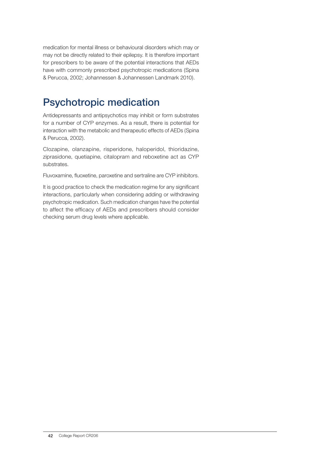medication for mental illness or behavioural disorders which may or may not be directly related to their epilepsy. It is therefore important for prescribers to be aware of the potential interactions that AEDs have with commonly prescribed psychotropic medications (Spina & Perucca, 2002; Johannessen & Johannessen Landmark 2010).

#### Psychotropic medication

Antidepressants and antipsychotics may inhibit or form substrates for a number of CYP enzymes. As a result, there is potential for interaction with the metabolic and therapeutic effects of AEDs (Spina & Perucca, 2002).

Clozapine, olanzapine, risperidone, haloperidol, thioridazine, ziprasidone, quetiapine, citalopram and reboxetine act as CYP substrates.

Fluvoxamine, fluoxetine, paroxetine and sertraline are CYP inhibitors.

It is good practice to check the medication regime for any significant interactions, particularly when considering adding or withdrawing psychotropic medication. Such medication changes have the potential to affect the efficacy of AEDs and prescribers should consider checking serum drug levels where applicable.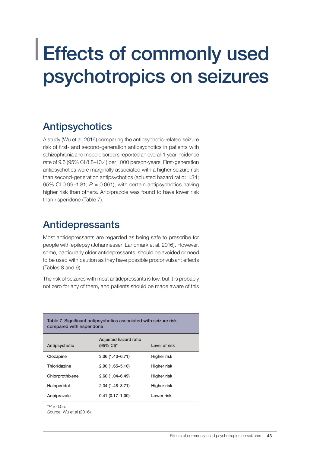### Effects of commonly used psychotropics on seizures

#### Antipsychotics

A study (Wu et al, 2016) comparing the antipsychotic-related seizure risk of first- and second-generation antipsychotics in patients with schizophrenia and mood disorders reported an overall 1-year incidence rate of 9.6 (95% CI 8.8–10.4) per 1000 person-years. First-generation antipsychotics were marginally associated with a higher seizure risk than second-generation antipsychotics (adjusted hazard ratio: 1.34; 95% CI 0.99–1.81; *P* = 0.061), with certain antipsychotics having higher risk than others. Aripiprazole was found to have lower risk than risperidone (Table 7).

#### Antidepressants

Most antidepressants are regarded as being safe to prescribe for people with epilepsy (Johannessen Landmark et al, 2016). However, some, particularly older antidepressants, should be avoided or need to be used with caution as they have possible proconvulsant effects (Tables 8 and 9).

The risk of seizures with most antidepressants is low, but it is probably not zero for any of them, and patients should be made aware of this

| compared with risperidone | Table 7 Significant antipsychotics associated with seizure risk |               |
|---------------------------|-----------------------------------------------------------------|---------------|
| Antipsychotic             | Adjusted hazard ratio<br>$(95\% \text{ Cl})^*$                  | Level of risk |
| Clozapine                 | $3.06(1.40 - 6.71)$                                             | Higher risk   |
| Thioridazine              | $2.90(1.65 - 5.10)$                                             | Higher risk   |
| Chlorprothixene           | $2.60(1.04 - 6.49)$                                             | Higher risk   |
| Haloperidol               | $2.34(1.48 - 3.71)$                                             | Higher risk   |
| Aripiprazole              | $0.41(0.17 - 1.00)$                                             | Lower risk    |

 $*P = 0.05$ .

Source: Wu et al (2016).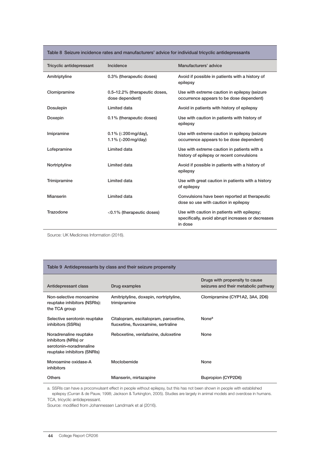| Table 8 Seizure incidence rates and manufacturers' advice for individual tricyclic antidepressants |  |  |  |  |  |
|----------------------------------------------------------------------------------------------------|--|--|--|--|--|
|----------------------------------------------------------------------------------------------------|--|--|--|--|--|

| Tricyclic antidepressant | Incidence                                               | Manufacturers' advice                                                                                       |
|--------------------------|---------------------------------------------------------|-------------------------------------------------------------------------------------------------------------|
| Amitriptyline            | 0.3% (therapeutic doses)                                | Avoid if possible in patients with a history of<br>epilepsy                                                 |
| Clomipramine             | 0.5-12.2% (therapeutic doses,<br>dose dependent)        | Use with extreme caution in epilepsy (seizure<br>occurrence appears to be dose dependent)                   |
| <b>Dosulepin</b>         | Limited data                                            | Avoid in patients with history of epilepsy                                                                  |
| Doxepin                  | 0.1% (therapeutic doses)                                | Use with caution in patients with history of<br>epilepsy                                                    |
| Imipramine               | $0.1\%$ ( $\leq$ 200 mg/day),<br>1.1% ( $>$ 200 mg/day) | Use with extreme caution in epilepsy (seizure<br>occurrence appears to be dose dependent)                   |
| Lofepramine              | Limited data                                            | Use with extreme caution in patients with a<br>history of epilepsy or recent convulsions                    |
| Nortriptyline            | Limited data                                            | Avoid if possible in patients with a history of<br>epilepsy                                                 |
| Trimipramine             | Limited data                                            | Use with great caution in patients with a history<br>of epilepsy                                            |
| Mianserin                | Limited data                                            | Convulsions have been reported at therapeutic<br>dose so use with caution in epilepsy                       |
| Trazodone                | $<$ 0.1% (therapeutic doses)                            | Use with caution in patients with epilepsy;<br>specifically, avoid abrupt increases or decreases<br>in dose |

Source: UK Medicines Information (2016).

#### Table 9 Antidepressants by class and their seizure propensity

| Antidepressant class                                                                                     | Drug examples                                                                | Drugs with propensity to cause<br>seizures and their metabolic pathway |
|----------------------------------------------------------------------------------------------------------|------------------------------------------------------------------------------|------------------------------------------------------------------------|
| Non-selective monoamine<br>reuptake inhibitors (NSRIs):<br>the TCA group                                 | Amitriptyline, doxepin, nortriptyline,<br>trimipramine                       | Clomipramine (CYP1A2, 3A4, 2D6)                                        |
| Selective serotonin reuptake<br>inhibitors (SSRIs)                                                       | Citalopram, escitalopram, paroxetine,<br>fluoxetine, fluvoxamine, sertraline | None <sup>a</sup>                                                      |
| Noradrenaline reuptake<br>inhibitors (NRIs) or<br>serotonin-noradrenaline<br>reuptake inhibitors (SNRIs) | Reboxetine, venlafaxine, duloxetine                                          | None                                                                   |
| Monoamine oxidase-A<br>inhibitors                                                                        | Moclobemide                                                                  | None                                                                   |
| <b>Others</b>                                                                                            | Mianserin, mirtazapine                                                       | Bupropion (CYP2D6)                                                     |

a. SSRIs can have a proconvulsant effect in people without epilepsy, but this has not been shown in people with established epilepsy (Curran & de Pauw, 1998; Jackson & Turkington, 2005). Studies are largely in animal models and overdose in humans. TCA, tricyclic antidepressant.

Source: modified from Johannessen Landmark et al (2016).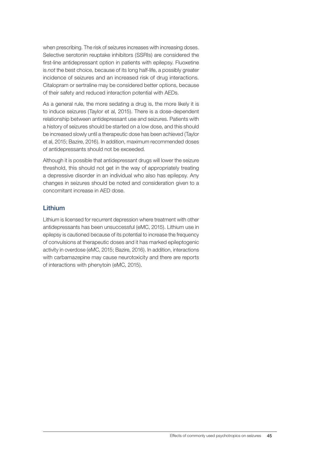when prescribing. The risk of seizures increases with increasing doses. Selective serotonin reuptake inhibitors (SSRIs) are considered the first-line antidepressant option in patients with epilepsy. Fluoxetine is *not* the best choice, because of its long half-life, a possibly greater incidence of seizures and an increased risk of drug interactions. Citalopram or sertraline may be considered better options, because of their safety and reduced interaction potential with AEDs.

As a general rule, the more sedating a drug is, the more likely it is to induce seizures (Taylor et al, 2015). There is a dose-dependent relationship between antidepressant use and seizures. Patients with a history of seizures should be started on a low dose, and this should be increased slowly until a therapeutic dose has been achieved (Taylor et al, 2015; Bazire, 2016). In addition, maximum recommended doses of antidepressants should not be exceeded.

Although it is possible that antidepressant drugs will lower the seizure threshold, this should not get in the way of appropriately treating a depressive disorder in an individual who also has epilepsy. Any changes in seizures should be noted and consideration given to a concomitant increase in AED dose.

#### Lithium

Lithium is licensed for recurrent depression where treatment with other antidepressants has been unsuccessful (eMC, 2015). Lithium use in epilepsy is cautioned because of its potential to increase the frequency of convulsions at therapeutic doses and it has marked epileptogenic activity in overdose (eMC, 2015; Bazire, 2016). In addition, interactions with carbamazepine may cause neurotoxicity and there are reports of interactions with phenytoin (eMC, 2015).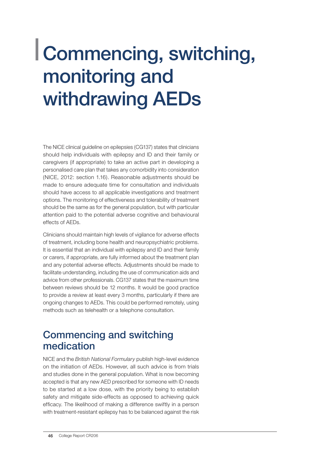### Commencing, switching, monitoring and withdrawing AEDs

The NICE clinical guideline on epilepsies (CG137) states that clinicians should help individuals with epilepsy and ID and their family or caregivers (if appropriate) to take an active part in developing a personalised care plan that takes any comorbidity into consideration (NICE, 2012: section 1.16). Reasonable adjustments should be made to ensure adequate time for consultation and individuals should have access to all applicable investigations and treatment options. The monitoring of effectiveness and tolerability of treatment should be the same as for the general population, but with particular attention paid to the potential adverse cognitive and behavioural effects of AEDs.

Clinicians should maintain high levels of vigilance for adverse effects of treatment, including bone health and neuropsychiatric problems. It is essential that an individual with epilepsy and ID and their family or carers, if appropriate, are fully informed about the treatment plan and any potential adverse effects. Adjustments should be made to facilitate understanding, including the use of communication aids and advice from other professionals. CG137 states that the maximum time between reviews should be 12 months. It would be good practice to provide a review at least every 3 months, particularly if there are ongoing changes to AEDs. This could be performed remotely, using methods such as telehealth or a telephone consultation.

#### Commencing and switching medication

NICE and the *British National Formulary* publish high-level evidence on the initiation of AEDs. However, all such advice is from trials and studies done in the general population. What is now becoming accepted is that any new AED prescribed for someone with ID needs to be started at a low dose, with the priority being to establish safety and mitigate side-effects as opposed to achieving quick efficacy. The likelihood of making a difference swiftly in a person with treatment-resistant epilepsy has to be balanced against the risk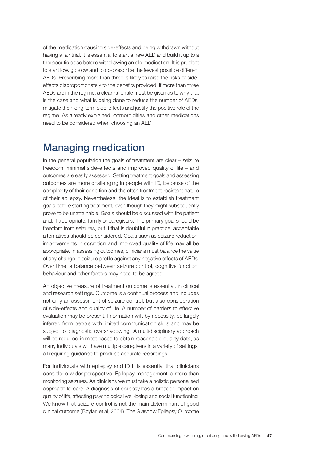of the medication causing side-effects and being withdrawn without having a fair trial. It is essential to start a new AED and build it up to a therapeutic dose before withdrawing an old medication. It is prudent to start low, go slow and to co-prescribe the fewest possible different AEDs. Prescribing more than three is likely to raise the risks of sideeffects disproportionately to the benefits provided. If more than three AEDs are in the regime, a clear rationale must be given as to why that is the case and what is being done to reduce the number of AEDs, mitigate their long-term side-effects and justify the positive role of the regime. As already explained, comorbidities and other medications need to be considered when choosing an AED.

#### Managing medication

In the general population the goals of treatment are clear – seizure freedom, minimal side-effects and improved quality of life – and outcomes are easily assessed. Setting treatment goals and assessing outcomes are more challenging in people with ID, because of the complexity of their condition and the often treatment-resistant nature of their epilepsy. Nevertheless, the ideal is to establish treatment goals before starting treatment, even though they might subsequently prove to be unattainable. Goals should be discussed with the patient and, if appropriate, family or caregivers. The primary goal should be freedom from seizures, but if that is doubtful in practice, acceptable alternatives should be considered. Goals such as seizure reduction, improvements in cognition and improved quality of life may all be appropriate. In assessing outcomes, clinicians must balance the value of any change in seizure profile against any negative effects of AEDs. Over time, a balance between seizure control, cognitive function, behaviour and other factors may need to be agreed.

An objective measure of treatment outcome is essential, in clinical and research settings. Outcome is a continual process and includes not only an assessment of seizure control, but also consideration of side-effects and quality of life. A number of barriers to effective evaluation may be present. Information will, by necessity, be largely inferred from people with limited communication skills and may be subject to 'diagnostic overshadowing'. A multidisciplinary approach will be required in most cases to obtain reasonable-quality data, as many individuals will have multiple caregivers in a variety of settings, all requiring guidance to produce accurate recordings.

For individuals with epilepsy and ID it is essential that clinicians consider a wider perspective. Epilepsy management is more than monitoring seizures. As clinicians we must take a holistic personalised approach to care. A diagnosis of epilepsy has a broader impact on quality of life, affecting psychological well-being and social functioning. We know that seizure control is not the main determinant of good clinical outcome (Boylan et al, 2004). The Glasgow Epilepsy Outcome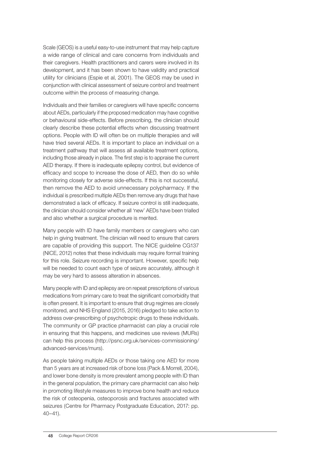Scale (GEOS) is a useful easy-to-use instrument that may help capture a wide range of clinical and care concerns from individuals and their caregivers. Health practitioners and carers were involved in its development, and it has been shown to have validity and practical utility for clinicians (Espie et al, 2001). The GEOS may be used in conjunction with clinical assessment of seizure control and treatment outcome within the process of measuring change.

Individuals and their families or caregivers will have specific concerns about AEDs, particularly if the proposed medication may have cognitive or behavioural side-effects. Before prescribing, the clinician should clearly describe these potential effects when discussing treatment options. People with ID will often be on multiple therapies and will have tried several AEDs. It is important to place an individual on a treatment pathway that will assess all available treatment options, including those already in place. The first step is to appraise the current AED therapy. If there is inadequate epilepsy control, but evidence of efficacy and scope to increase the dose of AED, then do so while monitoring closely for adverse side-effects. If this is not successful, then remove the AED to avoid unnecessary polypharmacy. If the individual is prescribed multiple AEDs then remove any drugs that have demonstrated a lack of efficacy. If seizure control is still inadequate, the clinician should consider whether all 'new' AEDs have been trialled and also whether a surgical procedure is merited.

Many people with ID have family members or caregivers who can help in giving treatment. The clinician will need to ensure that carers are capable of providing this support. The NICE guideline CG137 (NICE, 2012) notes that these individuals may require formal training for this role. Seizure recording is important. However, specific help will be needed to count each type of seizure accurately, although it may be very hard to assess alteration in absences.

Many people with ID and epilepsy are on repeat prescriptions of various medications from primary care to treat the significant comorbidity that is often present. It is important to ensure that drug regimes are closely monitored, and NHS England (2015, 2016) pledged to take action to address over-prescribing of psychotropic drugs to these individuals. The community or GP practice pharmacist can play a crucial role in ensuring that this happens, and medicines use reviews (MURs) can help this process (http://psnc.org.uk/services-commissioning/ advanced-services/murs).

As people taking multiple AEDs or those taking one AED for more than 5 years are at increased risk of bone loss (Pack & Morrell, 2004), and lower bone density is more prevalent among people with ID than in the general population, the primary care pharmacist can also help in promoting lifestyle measures to improve bone health and reduce the risk of osteopenia, osteoporosis and fractures associated with seizures (Centre for Pharmacy Postgraduate Education, 2017: pp. 40–41).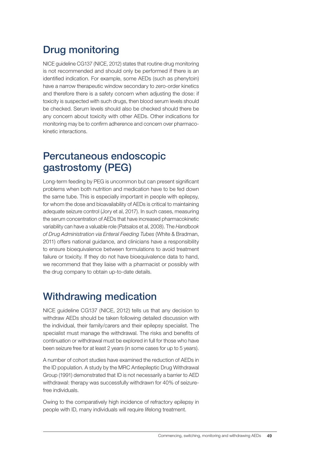### Drug monitoring

NICE guideline CG137 (NICE, 2012) states that routine drug monitoring is not recommended and should only be performed if there is an identified indication. For example, some AEDs (such as phenytoin) have a narrow therapeutic window secondary to zero-order kinetics and therefore there is a safety concern when adjusting the dose: if toxicity is suspected with such drugs, then blood serum levels should be checked. Serum levels should also be checked should there be any concern about toxicity with other AEDs. Other indications for monitoring may be to confirm adherence and concern over pharmacokinetic interactions.

#### Percutaneous endoscopic gastrostomy (PEG)

Long-term feeding by PEG is uncommon but can present significant problems when both nutrition and medication have to be fed down the same tube. This is especially important in people with epilepsy, for whom the dose and bioavailability of AEDs is critical to maintaining adequate seizure control (Jory et al, 2017). In such cases, measuring the serum concentration of AEDs that have increased pharmacokinetic variability can have a valuable role (Patsalos et al, 2008). The *Handbook of Drug Administration via Enteral Feeding Tubes* (White & Bradman, 2011) offers national guidance, and clinicians have a responsibility to ensure bioequivalence between formulations to avoid treatment failure or toxicity. If they do not have bioequivalence data to hand. we recommend that they liaise with a pharmacist or possibly with the drug company to obtain up-to-date details.

#### Withdrawing medication

NICE guideline CG137 (NICE, 2012) tells us that any decision to withdraw AEDs should be taken following detailed discussion with the individual, their family/carers and their epilepsy specialist. The specialist must manage the withdrawal. The risks and benefits of continuation or withdrawal must be explored in full for those who have been seizure free for at least 2 years (in some cases for up to 5 years).

A number of cohort studies have examined the reduction of AEDs in the ID population. A study by the MRC Antiepileptic Drug Withdrawal Group (1991) demonstrated that ID is not necessarily a barrier to AED withdrawal: therapy was successfully withdrawn for 40% of seizurefree individuals.

Owing to the comparatively high incidence of refractory epilepsy in people with ID, many individuals will require lifelong treatment.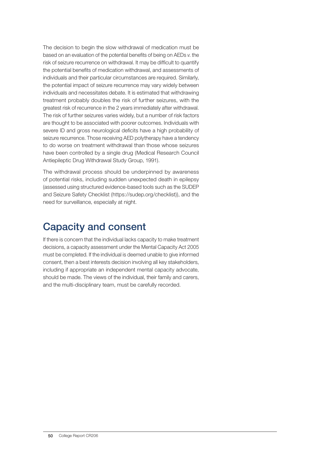The decision to begin the slow withdrawal of medication must be based on an evaluation of the potential benefits of being on AEDs *v*. the risk of seizure recurrence on withdrawal. It may be difficult to quantify the potential benefits of medication withdrawal, and assessments of individuals and their particular circumstances are required. Similarly, the potential impact of seizure recurrence may vary widely between individuals and necessitates debate. It is estimated that withdrawing treatment probably doubles the risk of further seizures, with the greatest risk of recurrence in the 2 years immediately after withdrawal. The risk of further seizures varies widely, but a number of risk factors are thought to be associated with poorer outcomes. Individuals with severe ID and gross neurological deficits have a high probability of seizure recurrence. Those receiving AED polytherapy have a tendency to do worse on treatment withdrawal than those whose seizures have been controlled by a single drug (Medical Research Council Antiepileptic Drug Withdrawal Study Group, 1991).

The withdrawal process should be underpinned by awareness of potential risks, including sudden unexpected death in epilepsy (assessed using structured evidence-based tools such as the SUDEP and Seizure Safety Checklist (https://sudep.org/checklist)), and the need for surveillance, especially at night.

#### Capacity and consent

If there is concern that the individual lacks capacity to make treatment decisions, a capacity assessment under the Mental Capacity Act 2005 must be completed. If the individual is deemed unable to give informed consent, then a best interests decision involving all key stakeholders, including if appropriate an independent mental capacity advocate, should be made. The views of the individual, their family and carers, and the multi-disciplinary team, must be carefully recorded.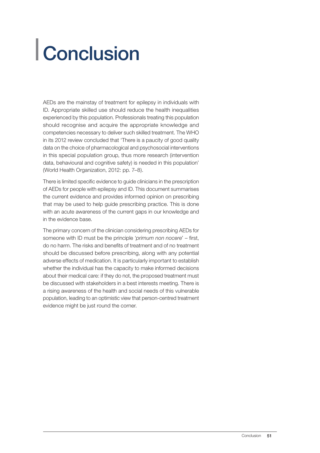## Conclusion

AEDs are the mainstay of treatment for epilepsy in individuals with ID. Appropriate skilled use should reduce the health inequalities experienced by this population. Professionals treating this population should recognise and acquire the appropriate knowledge and competencies necessary to deliver such skilled treatment. The WHO in its 2012 review concluded that 'There is a paucity of good quality data on the choice of pharmacological and psychosocial interventions in this special population group, thus more research (intervention data, behavioural and cognitive safety) is needed in this population' (World Health Organization, 2012: pp. 7–8).

There is limited specific evidence to guide clinicians in the prescription of AEDs for people with epilepsy and ID. This document summarises the current evidence and provides informed opinion on prescribing that may be used to help guide prescribing practice. This is done with an acute awareness of the current gaps in our knowledge and in the evidence base.

The primary concern of the clinician considering prescribing AEDs for someone with ID must be the principle '*primum non nocere*' – first, do no harm. The risks and benefits of treatment and of no treatment should be discussed before prescribing, along with any potential adverse effects of medication. It is particularly important to establish whether the individual has the capacity to make informed decisions about their medical care: if they do not, the proposed treatment must be discussed with stakeholders in a best interests meeting. There is a rising awareness of the health and social needs of this vulnerable population, leading to an optimistic view that person-centred treatment evidence might be just round the corner.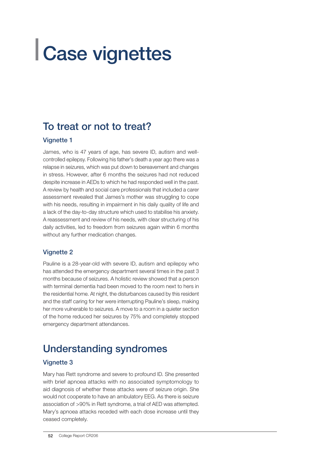## Case vignettes

#### To treat or not to treat?

#### **Vignette 1**

James, who is 47 years of age, has severe ID, autism and wellcontrolled epilepsy. Following his father's death a year ago there was a relapse in seizures, which was put down to bereavement and changes in stress. However, after 6 months the seizures had not reduced despite increase in AEDs to which he had responded well in the past. A review by health and social care professionals that included a carer assessment revealed that James's mother was struggling to cope with his needs, resulting in impairment in his daily quality of life and a lack of the day-to-day structure which used to stabilise his anxiety. A reassessment and review of his needs, with clear structuring of his daily activities, led to freedom from seizures again within 6 months without any further medication changes.

#### Vignette 2

Pauline is a 28-year-old with severe ID, autism and epilepsy who has attended the emergency department several times in the past 3 months because of seizures. A holistic review showed that a person with terminal dementia had been moved to the room next to hers in the residential home. At night, the disturbances caused by this resident and the staff caring for her were interrupting Pauline's sleep, making her more vulnerable to seizures. A move to a room in a quieter section of the home reduced her seizures by 75% and completely stopped emergency department attendances.

### Understanding syndromes

#### Vignette 3

Mary has Rett syndrome and severe to profound ID. She presented with brief apnoea attacks with no associated symptomology to aid diagnosis of whether these attacks were of seizure origin. She would not cooperate to have an ambulatory EEG. As there is seizure association of >90% in Rett syndrome, a trial of AED was attempted. Mary's apnoea attacks receded with each dose increase until they ceased completely.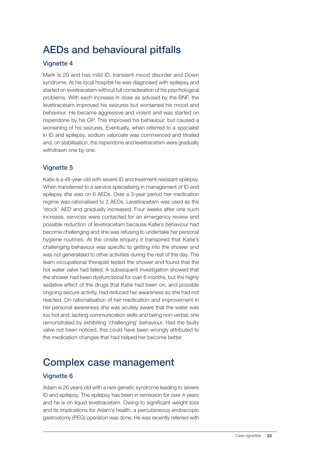### AEDs and behavioural pitfalls

#### **Vignette 4**

Mark is 20 and has mild ID, transient mood disorder and Down syndrome. At his local hospital he was diagnosed with epilepsy and started on levetiracetam without full consideration of his psychological problems. With each increase in dose as advised by the BNF, the levetiracetam improved his seizures but worsened his mood and behaviour. He became aggressive and violent and was started on risperidone by his GP. This improved his behaviour, but caused a worsening of his seizures. Eventually, when referred to a specialist in ID and epilepsy, sodium valproate was commenced and titrated and, on stabilisation, the risperidone and levetiracetam were gradually withdrawn one by one.

#### Vignette 5

Katie is a 48-year-old with severe ID and treatment-resistant epilepsy. When transferred to a service specialising in management of ID and epilepsy she was on 6 AEDs. Over a 3-year period her medication regime was rationalised to 2 AEDs. Levetiracetam was used as the 'stock' AED and gradually increased. Four weeks after one such increase, services were contacted for an emergency review and possible reduction of levetiracetam because Katie's behaviour had become challenging and she was refusing to undertake her personal hygiene routines. At the onsite enquiry it transpired that Katie's challenging behaviour was specific to getting into the shower and was not generalised to other activities during the rest of the day. The team occupational therapist tested the shower and found that the hot water valve had failed. A subsequent investigation showed that the shower had been dysfunctional for over 6 months, but the highly sedative effect of the drugs that Katie had been on, and possible ongoing seizure activity, had reduced her awareness so she had not reacted. On rationalisation of her medication and improvement in her personal awareness she was acutely aware that the water was too hot and, lacking communication skills and being non-verbal, she remonstrated by exhibiting 'challenging' behaviour. Had the faulty valve not been noticed, this could have been wrongly attributed to the medication changes that had helped her become better.

### Complex case management

#### **Vignette 6**

Adam is 26 years old with a rare genetic syndrome leading to severe ID and epilepsy. The epilepsy has been in remission for over 4 years and he is on liquid levetiracetam. Owing to significant weight loss and its implications for Adam's health, a percutaneous endoscopic gastrostomy (PEG) operation was done. He was recently referred with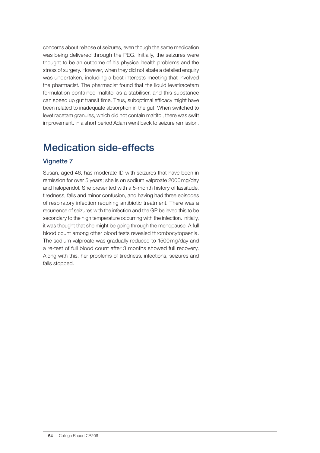concerns about relapse of seizures, even though the same medication was being delivered through the PEG. Initially, the seizures were thought to be an outcome of his physical health problems and the stress of surgery. However, when they did not abate a detailed enquiry was undertaken, including a best interests meeting that involved the pharmacist. The pharmacist found that the liquid levetiracetam formulation contained maltitol as a stabiliser, and this substance can speed up gut transit time. Thus, suboptimal efficacy might have been related to inadequate absorption in the gut. When switched to levetiracetam granules, which did not contain maltitol, there was swift improvement. In a short period Adam went back to seizure remission.

#### Medication side-effects

#### Vignette 7

Susan, aged 46, has moderate ID with seizures that have been in remission for over 5 years; she is on sodium valproate 2000mg/day and haloperidol. She presented with a 5-month history of lassitude, tiredness, falls and minor confusion, and having had three episodes of respiratory infection requiring antibiotic treatment. There was a recurrence of seizures with the infection and the GP believed this to be secondary to the high temperature occurring with the infection. Initially, it was thought that she might be going through the menopause. A full blood count among other blood tests revealed thrombocytopaenia. The sodium valproate was gradually reduced to 1500mg/day and a re-test of full blood count after 3 months showed full recovery. Along with this, her problems of tiredness, infections, seizures and falls stopped.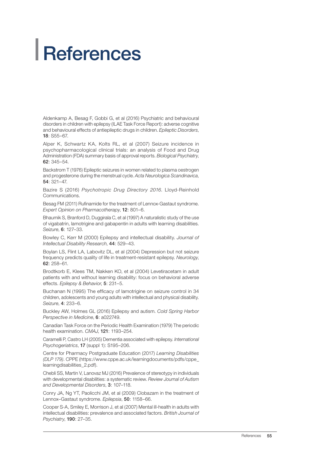## References

Aldenkamp A, Besag F, Gobbi G, et al (2016) Psychiatric and behavioural disorders in children with epilepsy (ILAE Task Force Report): adverse cognitive and behavioural effects of antiepileptic drugs in children. *Epileptic Disorders*, 18: S55–67.

Alper K, Schwartz KA, Kolts RL, et al (2007) Seizure incidence in psychopharmacological clinical trials: an analysis of Food and Drug Administration (FDA) summary basis of approval reports. *Biological Psychiatry*, 62: 345–54.

Backstrom T (1976) Epileptic seizures in women related to plasma oestrogen and progesterone during the menstrual cycle. *Acta Neurologica Scandinavica*, 54: 321–47.

Bazire S (2016) *Psychotropic Drug Directory 2016*. Lloyd-Reinhold Communications.

Besag FM (2011) Rufinamide for the treatment of Lennox-Gastaut syndrome. *Expert Opinion on Pharmacotherapy*, 12: 801–6.

Bhaumik S, Branford D, Duggirala C, et al (1997) A naturalistic study of the use of vigabatrin, lamotrigine and gabapentin in adults with learning disabilities. *Seizure*, 6: 127–33.

Bowley C, Kerr M (2000) Epilepsy and intellectual disability. *Journal of Intellectual Disability Research*, 44: 529–43.

Boylan LS, Flint LA, Labovitz DL, et al (2004) Depression but not seizure frequency predicts quality of life in treatment-resistant epilepsy. *Neurology*, 62: 258–61.

Brodtkorb E, Klees TM, Nakken KO, et al (2004) Levetiracetam in adult patients with and without learning disability: focus on behavioral adverse effects. *Epilepsy & Behavior*, 5: 231–5.

Buchanan N (1995) The efficacy of lamotrigine on seizure control in 34 children, adolescents and young adults with intellectual and physical disability. *Seizure*, 4: 233–6.

Buckley AW, Holmes GL (2016) Epilepsy and autism. *Cold Spring Harbor Perspective in Medicine*, 6: a022749.

Canadian Task Force on the Periodic Health Examination (1979) The periodic health examination. *CMAJ*, 121: 1193–254.

Caramelli P, Castro LH (2005) Dementia associated with epilepsy. *International Psychogeriatrics*, 17 (suppl 1): S195–206.

Centre for Pharmacy Postgraduate Education (2017) *Learning Disabilities (DLP 179)*. CPPE (https://www.cppe.ac.uk/learningdocuments/pdfs/cppe\_ learningdisabilities\_2.pdf).

Chebli SS, Martin V, Lanovaz MJ (2016) Prevalence of stereotypy in individuals with developmental disabilities: a systematic review. *Review Journal of Autism and Developmental Disorders*, 3: 107–118.

Conry JA, Ng YT, Paolicchi JM, et al (2009) Clobazam in the treatment of Lennox–Gastaut syndrome. *Epilepsia*, 50: 1158–66.

Cooper S-A, Smiley E, Morrison J, et al (2007) Mental ill-health in adults with intellectual disabilities: prevalence and associated factors. *British Journal of Psychiatry*, 190: 27–35.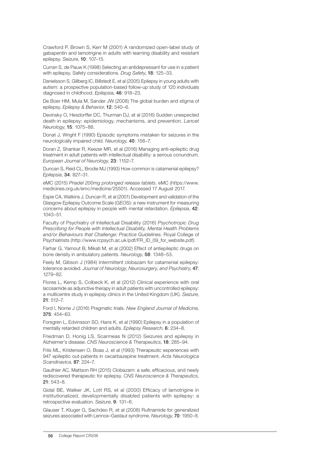Crawford P, Brown S, Kerr M (2001) A randomized open-label study of gabapentin and lamotrigine in adults with learning disability and resistant epilepsy. *Seizure*, 10: 107–15.

Curran S, de Pauw K (1998) Selecting an antidepressant for use in a patient with epilepsy. Safety considerations. *Drug Safety*, 18: 125–33.

Danielsson S, Gillberg IC, Billstedt E, et al (2005) Epilepsy in young adults with autism: a prospective population-based follow-up study of 120 individuals diagnosed in childhood. *Epilepsia*, 46: 918–23.

De Boer HM, Mula M, Sander JW (2008) The global burden and stigma of epilepsy. *Epilepsy & Behavior*, 12: 540–6.

Devinsky O, Hesdorffer DC, Thurman DJ, et al (2016) Sudden unexpected death in epilepsy: epidemiology, mechanisms, and prevention. *Lancet Neurology*, 15: 1075–88.

Donat J, Wright F (1990) Episodic symptoms mistaken for seizures in the neurologically impaired child. *Neurology*, 40: 156–7.

Doran Z, Shankar R, Keezer MR, et al (2016) Managing anti-epileptic drug treatment in adult patients with intellectual disability: a serious conundrum. *European Journal of Neurology*, 23: 1152–7.

Duncan S, Reid CL, Brodie MJ (1993) How common is catamenial epilepsy? *Epilepsia*, 34: 827–31.

eMC (2015) *Priadel 200mg prolonged release tablets*. eMC (https://www. medicines.org.uk/emc/medicine/25501). Accessed 17 August 2017.

Espie CA, Watkins J, Duncan R, et al (2001) Development and validation of the Glasgow Epilepsy Outcome Scale (GEOS): a new instrument for measuring concerns about epilepsy in people with mental retardation. *Epilepsia*, 42: 1043–51.

Faculty of Psychiatry of Intellectual Disability (2016) *Psychotropic Drug Prescribing for People with Intellectual Disability, Mental Health Problems and/or Behaviours that Challenge: Practice Guidelines*. Royal College of Psychiatrists (http://www.rcpsych.ac.uk/pdf/FR\_ID\_09\_for\_website.pdf).

Farhar G, Yamout B, Mikati M, et al (2002) Effect of antiepileptic drugs on bone density in ambulatory patients. *Neurology*, 58: 1348–53.

Feely M, Gibson J (1984) Intermittent clobazam for catamenial epilepsy: tolerance avoided. *Journal of Neurology*, *Neurosurgery, and Psychiatry*, 47: 1279–82.

Flores L, Kemp S, Colbeck K, et al (2012) Clinical experience with oral lacosamide as adjunctive therapy in adult patients with uncontrolled epilepsy: a multicentre study in epilepsy clinics in the United Kingdom (UK). *Seizure*, 21: 512–7.

Ford I, Norrie J (2016) Pragmatic trials. *New England Journal of Medicine*, 375: 454–63.

Forsgren L, Edvinsson SO, Hans K, et al (1990) Epilepsy in a population of mentally retarded children and adults. *Epilepsy Research*, 6: 234–8.

Friedman D, Honig LS, Scarmeas N (2012) Seizures and epilepsy in Alzheimer's disease. *CNS Neuroscience & Therapeutics*, 18: 285–94.

Friis ML, Kristensen O, Boas J, et al (1993) Therapeutic experiences with 947 epileptic out-patients in oxcarbazepine treatment. *Acta Neurologica Scandinavica*, 87: 224–7.

Gauthier AC, Mattson RH (2015) Clobazam: a safe, efficacious, and newly rediscovered therapeutic for epilepsy. *CNS Neuroscience & Therapeutics*,  $21:543-8$ 

Gidal BE, Walker JK, Lott RS, et al (2000) Efficacy of lamotrigine in institutionalized, developmentally disabled patients with epilepsy: a retrospective evaluation. *Seizure*, 9: 131–6.

Glauser T, Kluger G, Sachdeo R, et al (2008) Rufinamide for generalized seizures associated with Lennox–Gastaut syndrome. *Neurology*, 70: 1950–8.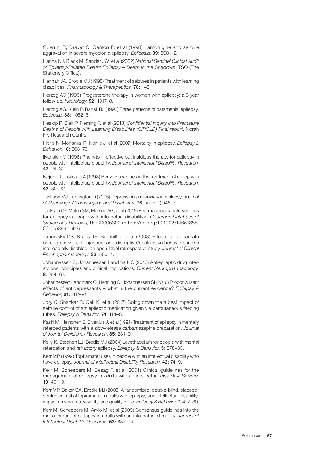Guerrini R, Dravet C, Genton P, et al (1998) Lamotrigine and seizure aggravation in severe myoclonic epilepsy. *Epilepsia*, 39: 508–12.

Hanna NJ, Black M, Sander JW, et al (2002) *National Sentinel Clinical Audit of Epilepsy-Related Death: Epilepsy – Death in the Shadows*. TSO (The Stationery Office).

Hannah JA, Brodie MJ (1998) Treatment of seizures in patients with learning disabilities. *Pharmacology & Therapeutics*, 78: 1–8.

Herzog AG (1999) Progesterone therapy in women with epilepsy: a 3 year follow-up. *Neurology*, 52: 1917–8.

Herzog AG, Klein P, Ransil BJ (1997) Three patterns of catamenial epilepsy. *Epilepsia*, 38: 1082–8.

Heslop P, Blair P, Fleming P, et al (2013) *Confidential Inquiry into Premature Deaths of People with Learning Disabilities (CIPOLD) Final report*. Norah Fry Research Centre.

Hitiris N, Mohanraj R, Norrie J, et al (2007) Mortality in epilepsy. *Epilepsy & Behavior*, 10: 363–76.

Iivanaien M (1998) Phenytoin: effective but insidious therapy for epilepsy in people with intellectual disability. *Journal of Intellectual Disability Research*, 42: 24–31.

Isojärvi JI, Tokola RA (1998) Benzodiazepines in the treatment of epilepsy in people with intellectual disability. *Journal of Intellectual Disability Research*, 42: 80–92.

Jackson MJ, Turkington D (2005) Depression and anxiety in epilepsy. *Journal of Neurology, Neurosurgery, and Psychiatry*, 76 (suppl 1): i45–7.

Jackson CF, Makin SM, Marson AG, et al (2015) Pharmacological interventions for epilepsy in people with intellectual disabilities. *Cochrane Database of Systematic Reviews*, 9: CD005399 (https://doi.org/10.1002/14651858. CD005399.pub3).

Janowsky DS, Kraus JE, Barnhill J, et al (2003) Effects of topiramate on aggressive, self-injurious, and disruptive/destructive behaviors in the intellectually disabled: an open-label retrospective study. *Journal of Clinical Psychopharmacology*, 23: 500–4.

Johannessen S, Johannessen Landmark C (2010) Antiepileptic drug interactions: principles and clinical implications. *Current Neuropharmacology*, 8: 254–67.

Johannessen Landmark C, Henning O, Johannessen SI (2016) Proconvulsant effects of antidepressants – what is the current evidence? *Epilepsy & Behavior*, 61: 287–91.

Jory C, Shankar R, Oak K, et al (2017) Going down the tubes! Impact of seizure control of antiepileptic medication given via percutaneous feeding tubes. *Epilepsy & Behavior*, 74: 114–8.

Kaski M, Heinonen E, Sivenius J, et al (1991) Treatment of epilepsy in mentally retarded patients with a slow-release carbamazepine preparation. *Journal of Mental Deficiency Research*, 35: 231–9.

Kelly K, Stephen LJ, Brodie MJ (2004) Levetiracetam for people with mental retardation and refractory epilepsy. *Epilepsy & Behavior*, 5: 878–83.

Kerr MP (1999) Topiramate: uses in people with an intellectual disability who have epilepsy. *Journal of Intellectual Disability Research*, 42: 74–9.

Kerr M, Scheepers M, Besag F, et al (2001) Clinical guidelines for the management of epilepsy in adults with an intellectual disability. *Seizure*, 10: 401–9.

Kerr MP, Baker GA, Brodie MJ (2005) A randomized, double-blind, placebocontrolled trial of topiramate in adults with epilepsy and intellectual disability: impact on seizures, severity, and quality of life. *Epilepsy & Behavior*, 7: 472–80.

Kerr M, Scheepers M, Arvio M, et al (2009) Consensus guidelines into the management of epilepsy in adults with an intellectual disability. *Journal of Intellectual Disability Research*, 53: 687–94.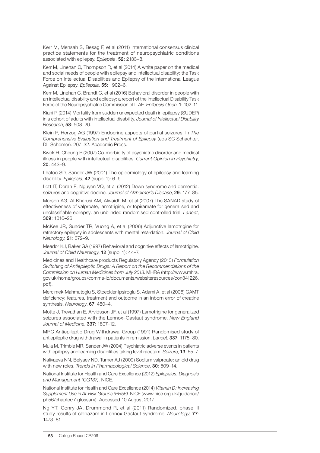Kerr M, Mensah S, Besag F, et al (2011) International consensus clinical practice statements for the treatment of neuropsychiatric conditions associated with epilepsy. *Epilepsia*, 52: 2133–8.

Kerr M, Linehan C, Thompson R, et al (2014) A white paper on the medical and social needs of people with epilepsy and intellectual disability: the Task Force on Intellectual Disabilities and Epilepsy of the International League Against Epilepsy. *Epilepsia*, 55: 1902–6.

Kerr M, Linehan C, Brandt C, et al (2016) Behavioral disorder in people with an intellectual disability and epilepsy: a report of the Intellectual Disability Task Force of the Neuropsychiatric Commission of ILAE. *Epilepsia Open*, 1: 102–11.

Kiani R (2014) Mortality from sudden unexpected death in epilepsy (SUDEP) in a cohort of adults with intellectual disability. *Journal of Intellectual Disability Research*, 58: 508–20.

Klein P, Herzog AG (1997) Endocrine aspects of partial seizures. In *The Comprehensive Evaluation and Treatment of Epilepsy* (eds SC Schachter, DL Schomer): 207–32. Academic Press.

Kwok H, Cheung P (2007) Co-morbidity of psychiatric disorder and medical illness in people with intellectual disabilities. *Current Opinion in Psychiatry*, 20: 443–9.

Lhatoo SD, Sander JW (2001) The epidemiology of epilepsy and learning disability. *Epilepsia*, 42 (suppl 1): 6–9.

Lott IT, Doran E, Nguyen VQ, et al (2012) Down syndrome and dementia: seizures and cognitive decline. *Journal of Alzheimer's Disease*, 29: 177–85.

Marson AG, Al-Kharusi AM, Alwaidh M, et al (2007) The SANAD study of effectiveness of valproate, lamotrigine, or topiramate for generalised and unclassifiable epilepsy: an unblinded randomised controlled trial. *Lancet*, 369: 1016–26.

McKee JR, Sunder TR, Vuong A, et al (2006) Adjunctive lamotrigine for refractory epilepsy in adolescents with mental retardation. *Journal of Child Neurology*, 21: 372–9.

Meador KJ, Baker GA (1997) Behavioral and cognitive effects of lamotrigine. *Journal of Child Neurology*, 12 (suppl 1): 44–7.

Medicines and Healthcare products Regulatory Agency (2013) *Formulation Switching of Antiepileptic Drugs: A Report on the Recommendations of the Commission on Human Medicines from July 2013*. MHRA (http://www.mhra. gov.uk/home/groups/comms-ic/documents/websiteresources/con341226. pdf).

Mercimek-Mahmutoglu S, Stoeckler-Ipsiroglu S, Adami A, et al (2006) GAMT deficiency: features, treatment and outcome in an inborn error of creatine synthesis. *Neurology*, 67: 480–4.

Motte J, Trevathan E, Arvidsson JF, et al (1997) Lamotrigine for generalized seizures associated with the Lennox–Gastaut syndrome. *New England Journal of Medicine*, 337: 1807–12.

MRC Antiepileptic Drug Withdrawal Group (1991) Randomised study of antiepileptic drug withdrawal in patients in remission. *Lancet*, 337: 1175–80.

Mula M, Trimble MR, Sander JW (2004) Psychiatric adverse events in patients with epilepsy and learning disabilities taking levetiracetam. *Seizure*, 13: 55–7.

Nalivaeva NN, Belyaev ND, Turner AJ (2009) Sodium valproate: an old drug with new roles. *Trends in Pharmacological Science*, 30: 509–14.

National Institute for Health and Care Excellence (2012) *Epilepsies: Diagnosis and Management (CG137)*. NICE.

National Institute for Health and Care Excellence (2014) *Vitamin D: Increasing Supplement Use in At-Risk Groups (PH56)*. NICE (www.nice.org.uk/guidance/ ph56/chapter/7-glossary). Accessed 10 August 2017*.*

Ng YT, Conry JA, Drummond R, et al (2011) Randomized, phase III study results of clobazam in Lennox-Gastaut syndrome. *Neurology*, 77: 1473–81.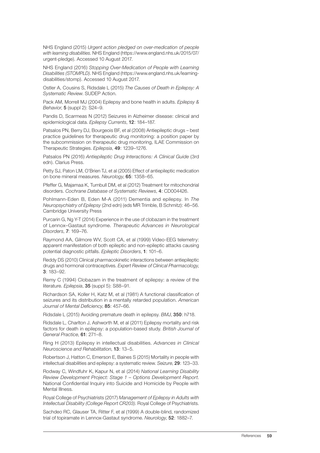NHS England (2015) *Urgent action pledged on over-medication of people with learning disabilities*. NHS England (https://www.england.nhs.uk/2015/07/ urgent-pledge). Accessed 10 August 2017.

NHS England (2016) *Stopping Over-Medication of People with Learning Disabilities (STOMPLD)*. NHS England (https://www.england.nhs.uk/learningdisabilities/stomp). Accessed 10 August 2017.

Ostler A, Cousins S, Ridsdale L (2015) *The Causes of Death in Epilepsy: A Systematic Review*. SUDEP Action.

Pack AM, Morrell MJ (2004) Epilepsy and bone health in adults. *Epilepsy & Behavior*, 5 (suppl 2): S24–9.

Pandis D, Scarmeas N (2012) Seizures in Alzheimer disease: clinical and epidemiological data. *Epilepsy Currents*, 12: 184–187.

Patsalos PN, Berry DJ, Bourgeois BF, et al (2008) Antiepileptic drugs – best practice guidelines for therapeutic drug monitoring: a position paper by the subcommission on therapeutic drug monitoring, ILAE Commission on Therapeutic Strategies. *Epilepsia*, 49: 1239–1276.

Patsalos PN (2016) *Antiepileptic Drug Interactions: A Clinical Guide* (3rd edn). Clarius Press.

Petty SJ, Paton LM, O'Brien TJ, et al (2005) Effect of antiepileptic medication on bone mineral measures. *Neurology*, 65: 1358–65.

Pfeffer G, Majamaa K, Turnbull DM, et al (2012) Treatment for mitochondrial disorders. *Cochrane Database of Systematic Reviews*, 4: CD004426.

Pohlmann-Eden B, Eden M-A (2011) Dementia and epilepsy. In *The Neuropsychiatry of Epilepsy* (2nd edn) (eds MR Trimble, B Schmitz): 46–56. Cambridge University Press

Purcarin G, Ng Y-T (2014) Experience in the use of clobazam in the treatment of Lennox–Gastaut syndrome. *Therapeutic Advances in Neurological Disorders*, 7: 169–76.

Raymond AA, Gilmore WV, Scott CA, et al (1999) Video-EEG telemetry: apparent manifestation of both epileptic and non-epileptic attacks causing potential diagnostic pitfalls. *Epileptic Disorders*, 1: 101–6.

Reddy DS (2010) Clinical pharmacokinetic interactions between antiepileptic drugs and hormonal contraceptives. *Expert Review of Clinical Pharmacology*, 3: 183–92.

Remy C (1994) Clobazam in the treatment of epilepsy: a review of the literature. *Epilepsia*, 35 (suppl 5): S88–91.

Richardson SA, Koller H, Katz M, et al (1981) A functional classification of seizures and its distribution in a mentally retarded population. *American Journal of Mental Deficiency*, 85: 457–66.

Ridsdale L (2015) Avoiding premature death in epilepsy. *BMJ*, 350: h718.

Ridsdale L, Charlton J, Ashworth M, et al (2011) Epilepsy mortality and risk factors for death in epilepsy: a population-based study. *British Journal of General Practice*, 61: 271–8.

Ring H (2013) Epilepsy in intellectual disabilities. *Advances in Clinical Neuroscience and Rehabilitation*, 13: 13–5.

Robertson J, Hatton C, Emerson E, Baines S (2015) Mortality in people with intellectual disabilities and epilepsy: a systematic review. *Seizure*, 29: 123–33.

Rodway C, Windfuhr K, Kapur N, et al (2014) *National Learning Disability Review Development Project: Stage 1 – Options Development Report*. National Confidential Inquiry into Suicide and Homicide by People with Mental Illness.

Royal College of Psychiatrists (2017) *Management of Epilepsy in Adults with Intellectual Disability (College Report CR203)*. Royal College of Psychiatrists.

Sachdeo RC, Glauser TA, Ritter F, et al (1999) A double-blind, randomized trial of topiramate in Lennox-Gastaut syndrome. *Neurology*, 52: 1882–7.